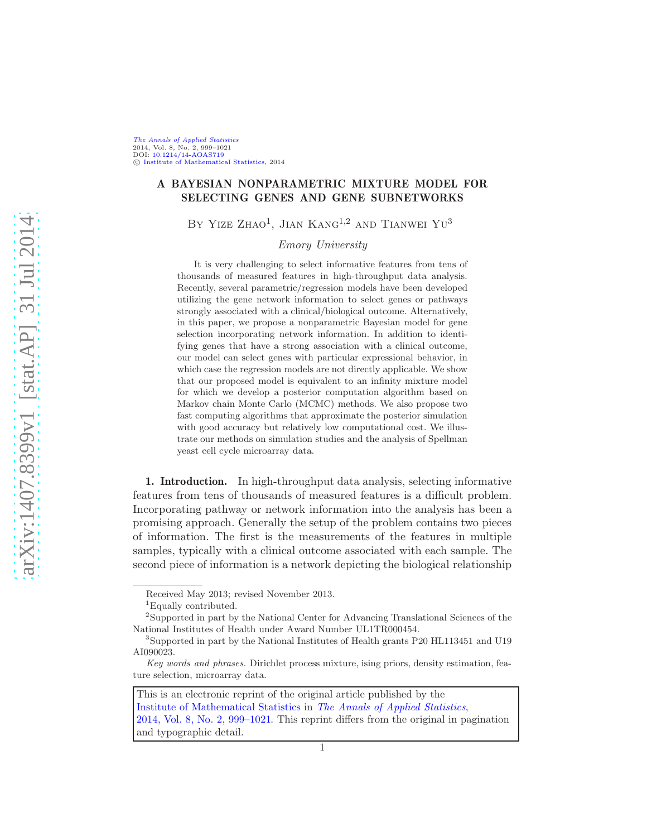[The Annals of Applied Statistics](http://www.imstat.org/aoas/) 2014, Vol. 8, No. 2, 999–1021 DOI: [10.1214/14-AOAS719](http://dx.doi.org/10.1214/14-AOAS719) C [Institute of Mathematical Statistics,](http://www.imstat.org) 2014

## A BAYESIAN NONPARAMETRIC MIXTURE MODEL FOR SELECTING GENES AND GENE SUBNETWORKS

BY YIZE ZHAO<sup>1</sup>, JIAN KANG<sup>1,2</sup> AND TIANWEI  $\rm{Yu^3}$ 

# Emory University

It is very challenging to select informative features from tens of thousands of measured features in high-throughput data analysis. Recently, several parametric/regression models have been developed utilizing the gene network information to select genes or pathways strongly associated with a clinical/biological outcome. Alternatively, in this paper, we propose a nonparametric Bayesian model for gene selection incorporating network information. In addition to identifying genes that have a strong association with a clinical outcome, our model can select genes with particular expressional behavior, in which case the regression models are not directly applicable. We show that our proposed model is equivalent to an infinity mixture model for which we develop a posterior computation algorithm based on Markov chain Monte Carlo (MCMC) methods. We also propose two fast computing algorithms that approximate the posterior simulation with good accuracy but relatively low computational cost. We illustrate our methods on simulation studies and the analysis of Spellman yeast cell cycle microarray data.

1. Introduction. In high-throughput data analysis, selecting informative features from tens of thousands of measured features is a difficult problem. Incorporating pathway or network information into the analysis has been a promising approach. Generally the setup of the problem contains two pieces of information. The first is the measurements of the features in multiple samples, typically with a clinical outcome associated with each sample. The second piece of information is a network depicting the biological relationship

Received May 2013; revised November 2013.

<sup>&</sup>lt;sup>1</sup>Equally contributed.

<sup>&</sup>lt;sup>2</sup>Supported in part by the National Center for Advancing Translational Sciences of the National Institutes of Health under Award Number UL1TR000454.

<sup>3</sup> Supported in part by the National Institutes of Health grants P20 HL113451 and U19 AI090023.

Key words and phrases. Dirichlet process mixture, ising priors, density estimation, feature selection, microarray data.

This is an electronic reprint of the original article published by the [Institute of Mathematical Statistics](http://www.imstat.org) in [The Annals of Applied Statistics](http://www.imstat.org/aoas/), [2014, Vol. 8, No. 2, 999–1021.](http://dx.doi.org/10.1214/14-AOAS719) This reprint differs from the original in pagination and typographic detail.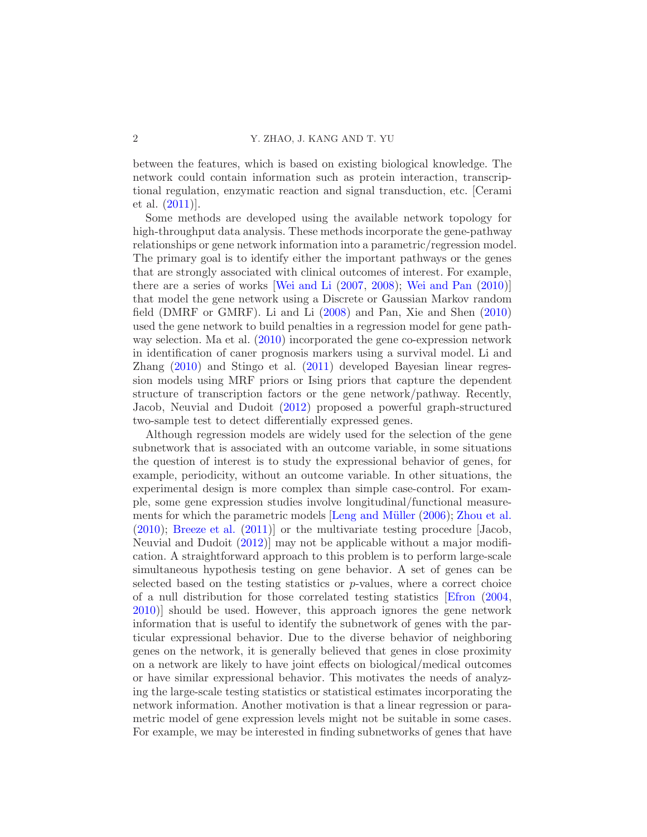between the features, which is based on existing biological knowledge. The network could contain information such as protein interaction, transcriptional regulation, enzymatic reaction and signal transduction, etc. [Cerami et al. [\(2011\)](#page-21-0)].

Some methods are developed using the available network topology for high-throughput data analysis. These methods incorporate the gene-pathway relationships or gene network information into a parametric/regression model. The primary goal is to identify either the important pathways or the genes that are strongly associated with clinical outcomes of interest. For example, there are a series of works [\[Wei and Li](#page-22-0) [\(2007](#page-22-0), [2008](#page-23-0)); [Wei and Pan](#page-23-1) [\(2010](#page-23-1))] that model the gene network using a Discrete or Gaussian Markov random field (DMRF or GMRF). Li and Li [\(2008\)](#page-22-1) and Pan, Xie and Shen [\(2010](#page-22-2)) used the gene network to build penalties in a regression model for gene pathway selection. Ma et al. [\(2010](#page-22-3)) incorporated the gene co-expression network in identification of caner prognosis markers using a survival model. Li and Zhang [\(2010\)](#page-22-4) and Stingo et al. [\(2011\)](#page-22-5) developed Bayesian linear regression models using MRF priors or Ising priors that capture the dependent structure of transcription factors or the gene network/pathway. Recently, Jacob, Neuvial and Dudoit [\(2012](#page-22-6)) proposed a powerful graph-structured two-sample test to detect differentially expressed genes.

Although regression models are widely used for the selection of the gene subnetwork that is associated with an outcome variable, in some situations the question of interest is to study the expressional behavior of genes, for example, periodicity, without an outcome variable. In other situations, the experimental design is more complex than simple case-control. For example, some gene expression studies involve longitudinal/functional measure-ments for which the parametric models [Leng and Müller [\(2006](#page-22-7)); [Zhou et al.](#page-23-2)  $(2010)$ ; [Breeze et al.](#page-21-1)  $(2011)$  or the multivariate testing procedure [Jacob, Neuvial and Dudoit [\(2012](#page-22-6))] may not be applicable without a major modification. A straightforward approach to this problem is to perform large-scale simultaneous hypothesis testing on gene behavior. A set of genes can be selected based on the testing statistics or  $p$ -values, where a correct choice of a null distribution for those correlated testing statistics [\[Efron](#page-21-2) [\(2004](#page-21-2), [2010](#page-21-3))] should be used. However, this approach ignores the gene network information that is useful to identify the subnetwork of genes with the particular expressional behavior. Due to the diverse behavior of neighboring genes on the network, it is generally believed that genes in close proximity on a network are likely to have joint effects on biological/medical outcomes or have similar expressional behavior. This motivates the needs of analyzing the large-scale testing statistics or statistical estimates incorporating the network information. Another motivation is that a linear regression or parametric model of gene expression levels might not be suitable in some cases. For example, we may be interested in finding subnetworks of genes that have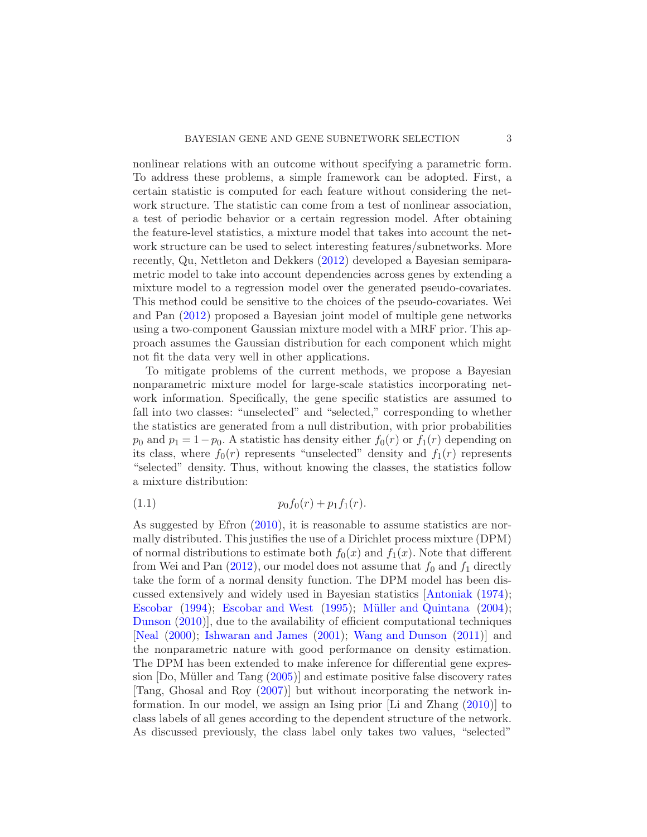nonlinear relations with an outcome without specifying a parametric form. To address these problems, a simple framework can be adopted. First, a certain statistic is computed for each feature without considering the network structure. The statistic can come from a test of nonlinear association, a test of periodic behavior or a certain regression model. After obtaining the feature-level statistics, a mixture model that takes into account the network structure can be used to select interesting features/subnetworks. More recently, Qu, Nettleton and Dekkers [\(2012](#page-22-8)) developed a Bayesian semiparametric model to take into account dependencies across genes by extending a mixture model to a regression model over the generated pseudo-covariates. This method could be sensitive to the choices of the pseudo-covariates. Wei and Pan [\(2012](#page-23-3)) proposed a Bayesian joint model of multiple gene networks using a two-component Gaussian mixture model with a MRF prior. This approach assumes the Gaussian distribution for each component which might not fit the data very well in other applications.

To mitigate problems of the current methods, we propose a Bayesian nonparametric mixture model for large-scale statistics incorporating network information. Specifically, the gene specific statistics are assumed to fall into two classes: "unselected" and "selected," corresponding to whether the statistics are generated from a null distribution, with prior probabilities  $p_0$  and  $p_1 = 1-p_0$ . A statistic has density either  $f_0(r)$  or  $f_1(r)$  depending on its class, where  $f_0(r)$  represents "unselected" density and  $f_1(r)$  represents "selected" density. Thus, without knowing the classes, the statistics follow a mixture distribution:

<span id="page-2-0"></span>
$$
(1.1) \t\t\t\t\t p_0 f_0(r) + p_1 f_1(r).
$$

As suggested by Efron [\(2010](#page-21-3)), it is reasonable to assume statistics are normally distributed. This justifies the use of a Dirichlet process mixture (DPM) of normal distributions to estimate both  $f_0(x)$  and  $f_1(x)$ . Note that different from Wei and Pan  $(2012)$ , our model does not assume that  $f_0$  and  $f_1$  directly take the form of a normal density function. The DPM model has been discussed extensively and widely used in Bayesian statistics [\[Antoniak](#page-21-4) [\(1974](#page-21-4)); [Escobar](#page-21-5) [\(1994](#page-21-5)); [Escobar and West](#page-22-9) [\(1995](#page-22-9)); Müller and Quintana [\(2004](#page-22-10)); [Dunson](#page-21-6) [\(2010](#page-21-6))], due to the availability of efficient computational techniques [\[Neal](#page-22-11) [\(2000](#page-22-11)); [Ishwaran and James](#page-22-12) [\(2001](#page-22-12)); [Wang and Dunson](#page-22-13) [\(2011](#page-22-13))] and the nonparametric nature with good performance on density estimation. The DPM has been extended to make inference for differential gene expression  $[Do, Müller]$  and  $Tang (2005)]$  $Tang (2005)]$  $Tang (2005)]$  and estimate positive false discovery rates [Tang, Ghosal and Roy [\(2007](#page-22-14))] but without incorporating the network information. In our model, we assign an Ising prior [Li and Zhang [\(2010](#page-22-4))] to class labels of all genes according to the dependent structure of the network. As discussed previously, the class label only takes two values, "selected"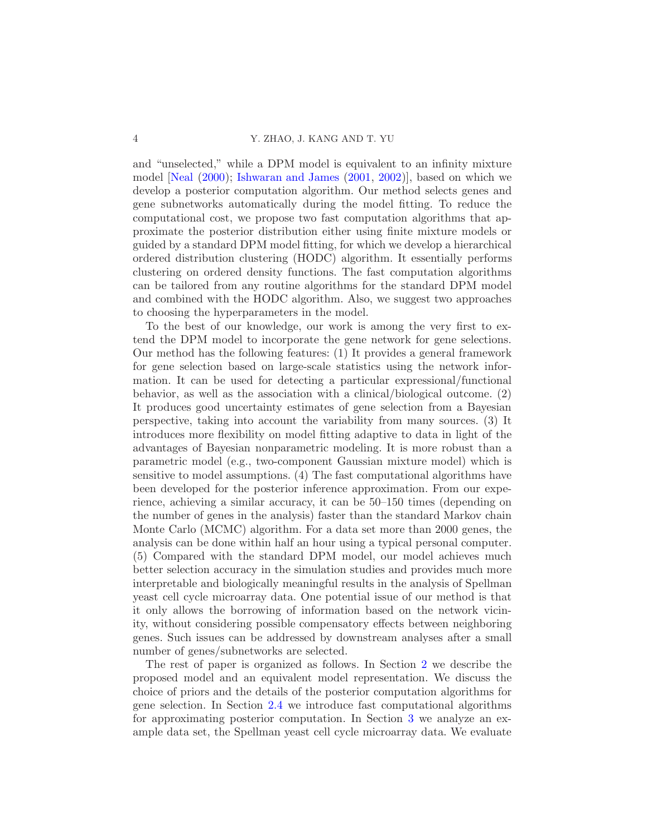and "unselected," while a DPM model is equivalent to an infinity mixture model [\[Neal](#page-22-11) [\(2000](#page-22-11)); [Ishwaran and James](#page-22-12) [\(2001](#page-22-12), [2002](#page-22-15))], based on which we develop a posterior computation algorithm. Our method selects genes and gene subnetworks automatically during the model fitting. To reduce the computational cost, we propose two fast computation algorithms that approximate the posterior distribution either using finite mixture models or guided by a standard DPM model fitting, for which we develop a hierarchical ordered distribution clustering (HODC) algorithm. It essentially performs clustering on ordered density functions. The fast computation algorithms can be tailored from any routine algorithms for the standard DPM model and combined with the HODC algorithm. Also, we suggest two approaches to choosing the hyperparameters in the model.

To the best of our knowledge, our work is among the very first to extend the DPM model to incorporate the gene network for gene selections. Our method has the following features: (1) It provides a general framework for gene selection based on large-scale statistics using the network information. It can be used for detecting a particular expressional/functional behavior, as well as the association with a clinical/biological outcome. (2) It produces good uncertainty estimates of gene selection from a Bayesian perspective, taking into account the variability from many sources. (3) It introduces more flexibility on model fitting adaptive to data in light of the advantages of Bayesian nonparametric modeling. It is more robust than a parametric model (e.g., two-component Gaussian mixture model) which is sensitive to model assumptions. (4) The fast computational algorithms have been developed for the posterior inference approximation. From our experience, achieving a similar accuracy, it can be 50–150 times (depending on the number of genes in the analysis) faster than the standard Markov chain Monte Carlo (MCMC) algorithm. For a data set more than 2000 genes, the analysis can be done within half an hour using a typical personal computer. (5) Compared with the standard DPM model, our model achieves much better selection accuracy in the simulation studies and provides much more interpretable and biologically meaningful results in the analysis of Spellman yeast cell cycle microarray data. One potential issue of our method is that it only allows the borrowing of information based on the network vicinity, without considering possible compensatory effects between neighboring genes. Such issues can be addressed by downstream analyses after a small number of genes/subnetworks are selected.

The rest of paper is organized as follows. In Section [2](#page-4-0) we describe the proposed model and an equivalent model representation. We discuss the choice of priors and the details of the posterior computation algorithms for gene selection. In Section [2.4](#page-7-0) we introduce fast computational algorithms for approximating posterior computation. In Section [3](#page-10-0) we analyze an example data set, the Spellman yeast cell cycle microarray data. We evaluate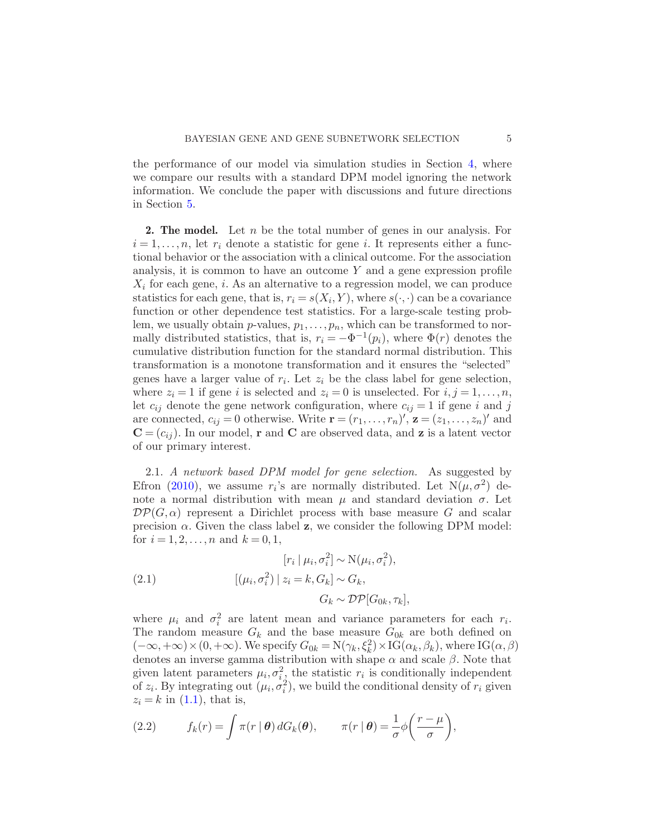the performance of our model via simulation studies in Section [4,](#page-14-0) where we compare our results with a standard DPM model ignoring the network information. We conclude the paper with discussions and future directions in Section [5.](#page-19-0)

<span id="page-4-0"></span>**2. The model.** Let  $n$  be the total number of genes in our analysis. For  $i = 1, \ldots, n$ , let  $r_i$  denote a statistic for gene i. It represents either a functional behavior or the association with a clinical outcome. For the association analysis, it is common to have an outcome  $Y$  and a gene expression profile  $X_i$  for each gene, i. As an alternative to a regression model, we can produce statistics for each gene, that is,  $r_i = s(X_i, Y)$ , where  $s(\cdot, \cdot)$  can be a covariance function or other dependence test statistics. For a large-scale testing problem, we usually obtain p-values,  $p_1, \ldots, p_n$ , which can be transformed to normally distributed statistics, that is,  $r_i = -\Phi^{-1}(p_i)$ , where  $\Phi(r)$  denotes the cumulative distribution function for the standard normal distribution. This transformation is a monotone transformation and it ensures the "selected" genes have a larger value of  $r_i$ . Let  $z_i$  be the class label for gene selection, where  $z_i = 1$  if gene i is selected and  $z_i = 0$  is unselected. For  $i, j = 1, \ldots, n$ , let  $c_{ij}$  denote the gene network configuration, where  $c_{ij} = 1$  if gene i and j are connected,  $c_{ij} = 0$  otherwise. Write  $\mathbf{r} = (r_1, \ldots, r_n)'$ ,  $\mathbf{z} = (z_1, \ldots, z_n)'$  and  $\mathbf{C} = (c_{ij})$ . In our model, **r** and **C** are observed data, and **z** is a latent vector of our primary interest.

2.1. A network based DPM model for gene selection. As suggested by Efron [\(2010\)](#page-21-3), we assume  $r_i$ 's are normally distributed. Let  $N(\mu, \sigma^2)$  denote a normal distribution with mean  $\mu$  and standard deviation  $\sigma$ . Let  $\mathcal{DP}(G, \alpha)$  represent a Dirichlet process with base measure G and scalar precision  $\alpha$ . Given the class label **z**, we consider the following DPM model: for  $i = 1, 2, ..., n$  and  $k = 0, 1$ ,

<span id="page-4-1"></span>(2.1) 
$$
[r_i | \mu_i, \sigma_i^2] \sim N(\mu_i, \sigma_i^2),
$$

$$
[(\mu_i, \sigma_i^2) | z_i = k, G_k] \sim G_k,
$$

$$
G_k \sim \mathcal{DP}[G_{0k}, \tau_k],
$$

where  $\mu_i$  and  $\sigma_i^2$  are latent mean and variance parameters for each  $r_i$ . The random measure  $G_k$  and the base measure  $G_{0k}$  are both defined on  $(-\infty, +\infty) \times (0, +\infty)$ . We specify  $G_{0k} = N(\gamma_k, \xi_k^2) \times IG(\alpha_k, \beta_k)$ , where IG $(\alpha, \beta)$ denotes an inverse gamma distribution with shape  $\alpha$  and scale  $\beta$ . Note that given latent parameters  $\mu_i, \sigma_i^2$ , the statistic  $r_i$  is conditionally independent of  $z_i$ . By integrating out  $(\mu_i, \sigma_i^2)$ , we build the conditional density of  $r_i$  given  $z_i = k$  in [\(1.1\)](#page-2-0), that is,

<span id="page-4-2"></span>(2.2) 
$$
f_k(r) = \int \pi(r \mid \boldsymbol{\theta}) dG_k(\boldsymbol{\theta}), \qquad \pi(r \mid \boldsymbol{\theta}) = \frac{1}{\sigma} \phi \left( \frac{r - \mu}{\sigma} \right),
$$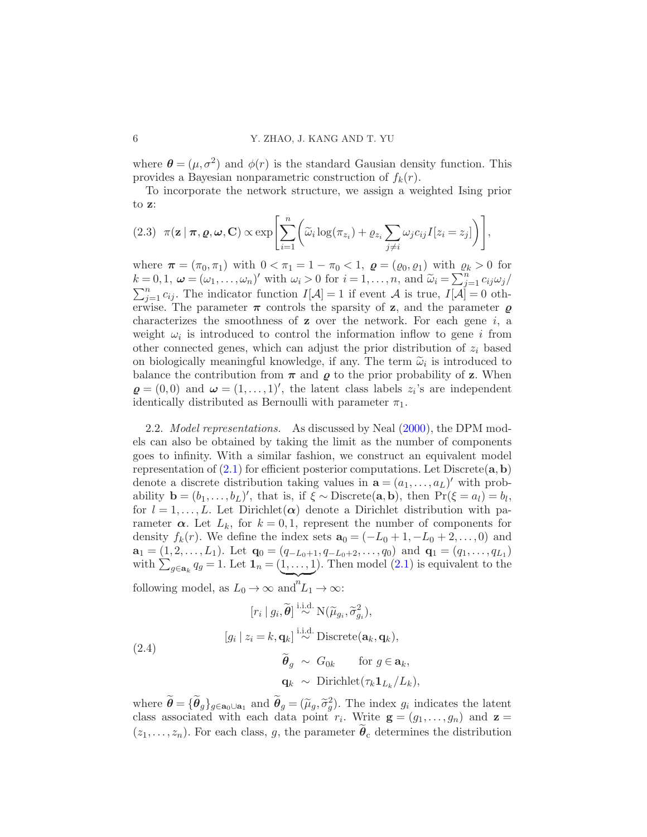where  $\boldsymbol{\theta} = (\mu, \sigma^2)$  and  $\phi(r)$  is the standard Gausian density function. This provides a Bayesian nonparametric construction of  $f_k(r)$ .

To incorporate the network structure, we assign a weighted Ising prior to z:

<span id="page-5-1"></span>
$$
(2.3) \ \ \pi(\mathbf{z} \mid \boldsymbol{\pi}, \boldsymbol{\varrho}, \boldsymbol{\omega}, \mathbf{C}) \propto \exp\left[\sum_{i=1}^{n} \left(\widetilde{\omega}_{i} \log(\pi_{z_{i}}) + \varrho_{z_{i}} \sum_{j \neq i} \omega_{j} c_{ij} I[z_{i} = z_{j}]\right)\right],
$$

where  $\pi = (\pi_0, \pi_1)$  with  $0 < \pi_1 = 1 - \pi_0 < 1$ ,  $\varrho = (\varrho_0, \varrho_1)$  with  $\varrho_k > 0$  for  $k = 0, 1, \omega = (\omega_1, \ldots, \omega_n)'$  with  $\omega_i > 0$  for  $i = 1, \ldots, n$ , and  $\widetilde{\omega}_i = \sum_{j=1}^n c_{ij} \omega_j / n$  $\sum_{j=1}^{n} c_{ij}$ . The indicator function  $I[\mathcal{A}] = 1$  if event  $\mathcal{A}$  is true,  $I[\mathcal{A}] = 0$  otherwise. The parameter  $\pi$  controls the sparsity of z, and the parameter  $\varrho$ characterizes the smoothness of  $z$  over the network. For each gene  $i$ , a weight  $\omega_i$  is introduced to control the information inflow to gene i from other connected genes, which can adjust the prior distribution of  $z_i$  based on biologically meaningful knowledge, if any. The term  $\tilde{\omega}_i$  is introduced to balance the contribution from  $\pi$  and  $\rho$  to the prior probability of z. When  $\mathbf{q} = (0,0)$  and  $\mathbf{\omega} = (1,\ldots,1)'$ , the latent class labels  $z_i$ 's are independent identically distributed as Bernoulli with parameter  $\pi_1$ .

2.2. *Model representations.* As discussed by Neal  $(2000)$ , the DPM models can also be obtained by taking the limit as the number of components goes to infinity. With a similar fashion, we construct an equivalent model representation of  $(2.1)$  for efficient posterior computations. Let Discrete $(a, b)$ denote a discrete distribution taking values in  $\mathbf{a} = (a_1, \dots, a_L)'$  with probability **b** =  $(b_1, ..., b_L)'$ , that is, if  $\xi \sim \text{Discrete}(\mathbf{a}, \mathbf{b})$ , then  $\Pr(\xi = a_l) = b_l$ , for  $l = 1, \ldots, L$ . Let Dirichlet  $(\alpha)$  denote a Dirichlet distribution with parameter  $\alpha$ . Let  $L_k$ , for  $k = 0, 1$ , represent the number of components for density  $f_k(r)$ . We define the index sets  $\mathbf{a}_0 = (-L_0 + 1, -L_0 + 2, \dots, 0)$  and  $\mathbf{a}_1 = (1, 2, \dots, L_1)$ . Let  $\mathbf{q}_0 = (q_{-L_0+1}, q_{-L_0+2}, \dots, q_0)$  and  $\mathbf{q}_1 = (q_1, \dots, q_{L_1})$ with  $\sum_{g \in \mathbf{a}_k} q_g = 1$ . Let  $\mathbf{1}_n = (1, \ldots, 1)$ . Then model  $(2.1)$  is equivalent to the following model, as  $L_0 \to \infty$  and  ${}^nL_1 \to \infty$ :

<span id="page-5-0"></span>(2.4)  
\n
$$
[r_i | g_i, \widetilde{\theta}] \stackrel{\text{i.i.d.}}{\sim} N(\widetilde{\mu}_{g_i}, \widetilde{\sigma}_{g_i}^2),
$$
\n
$$
[g_i | z_i = k, \mathbf{q}_k] \stackrel{\text{i.i.d.}}{\sim} \text{Discrete}(\mathbf{a}_k, \mathbf{q}_k),
$$
\n
$$
\widetilde{\theta}_g \sim G_{0k} \quad \text{for } g \in \mathbf{a}_k,
$$
\n
$$
\mathbf{q}_k \sim \text{Dirichlet}(\tau_k \mathbf{1}_{L_k}/L_k),
$$

where  $\hat{\theta} = {\hat{\theta}_g}_{g \in \mathbf{a}_0 \cup \mathbf{a}_1}$  and  $\hat{\theta}_g = (\tilde{\mu}_g, \tilde{\sigma}_g^2)$ . The index  $g_i$  indicates the latent class associated with each data point  $r_i$ . Write  $\mathbf{g} = (g_1, \ldots, g_n)$  and  $\mathbf{z} =$  $(z_1, \ldots, z_n)$ . For each class, g, the parameter  $\theta_c$  determines the distribution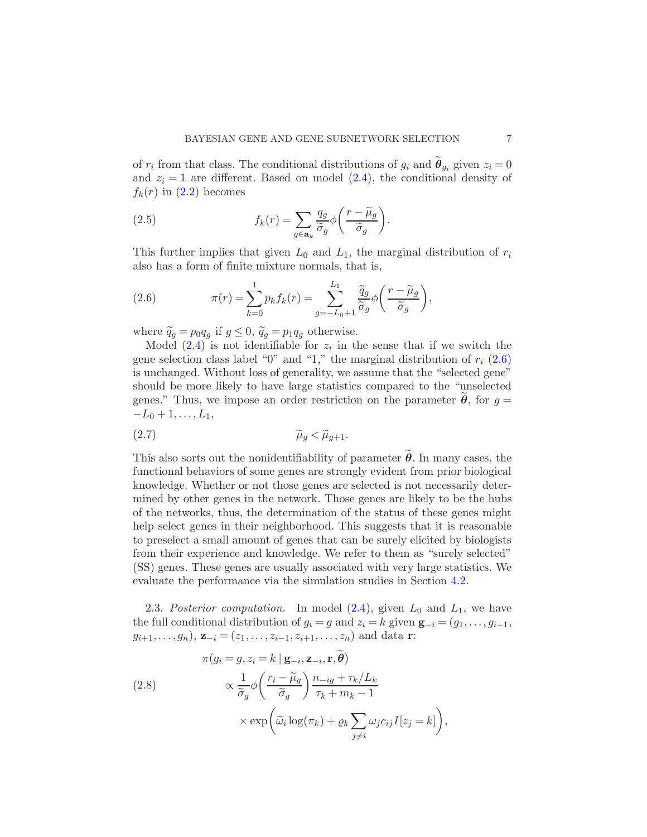of  $r_i$  from that class. The conditional distributions of  $g_i$  and  $\boldsymbol{\theta}_{g_i}$  given  $z_i = 0$ and  $z_i = 1$  are different. Based on model  $(2.4)$ , the conditional density of  $f_k(r)$  in  $(2.2)$  becomes

<span id="page-6-2"></span>(2.5) 
$$
f_k(r) = \sum_{g \in \mathbf{a}_k} \frac{q_g}{\widetilde{\sigma}_g} \phi \left( \frac{r - \widetilde{\mu}_g}{\widetilde{\sigma}_g} \right).
$$

This further implies that given  $L_0$  and  $L_1$ , the marginal distribution of  $r_i$ also has a form of finite mixture normals, that is,

<span id="page-6-0"></span>(2.6) 
$$
\pi(r) = \sum_{k=0}^{1} p_k f_k(r) = \sum_{g=-L_0+1}^{L_1} \frac{\widetilde{q}_g}{\widetilde{\sigma}_g} \phi\left(\frac{r-\widetilde{\mu}_g}{\widetilde{\sigma}_g}\right),
$$

where  $\tilde{q}_g = p_0 q_g$  if  $g \leq 0$ ,  $\tilde{q}_g = p_1 q_g$  otherwise.

Model  $(2.4)$  is not identifiable for  $z_i$  in the sense that if we switch the gene selection class label "0" and "1," the marginal distribution of  $r_i$  [\(2.6\)](#page-6-0) is unchanged. Without loss of generality, we assume that the "selected gene" should be more likely to have large statistics compared to the "unselected genes." Thus, we impose an order restriction on the parameter  $\theta$ , for  $g =$  $-L_0+1,\ldots,L_1,$ 

$$
\widetilde{\mu}_g < \widetilde{\mu}_{g+1}.
$$

This also sorts out the nonidentifiability of parameter  $\tilde{\theta}$ . In many cases, the functional behaviors of some genes are strongly evident from prior biological knowledge. Whether or not those genes are selected is not necessarily determined by other genes in the network. Those genes are likely to be the hubs of the networks, thus, the determination of the status of these genes might help select genes in their neighborhood. This suggests that it is reasonable to preselect a small amount of genes that can be surely elicited by biologists from their experience and knowledge. We refer to them as "surely selected" (SS) genes. These genes are usually associated with very large statistics. We evaluate the performance via the simulation studies in Section [4.2.](#page-18-0)

2.3. Posterior computation. In model  $(2.4)$ , given  $L_0$  and  $L_1$ , we have the full conditional distribution of  $g_i = g$  and  $z_i = k$  given  $\mathbf{g}_{-i} = (g_1, \ldots, g_{i-1},$  $g_{i+1}, \ldots, g_n$ ,  $\mathbf{z}_{-i} = (z_1, \ldots, z_{i-1}, z_{i+1}, \ldots, z_n)$  and data r:

<span id="page-6-1"></span>(2.8)  
\n
$$
\pi(g_i = g, z_i = k \mid \mathbf{g}_{-i}, \mathbf{z}_{-i}, \mathbf{r}, \theta)
$$
\n
$$
\propto \frac{1}{\tilde{\sigma}_g} \phi \left( \frac{r_i - \tilde{\mu}_g}{\tilde{\sigma}_g} \right) \frac{n_{-ig} + \tau_k / L_k}{\tau_k + m_k - 1}
$$
\n
$$
\times \exp \left( \tilde{\omega}_i \log(\pi_k) + \varrho_k \sum_{j \neq i} \omega_j c_{ij} I[z_j = k] \right),
$$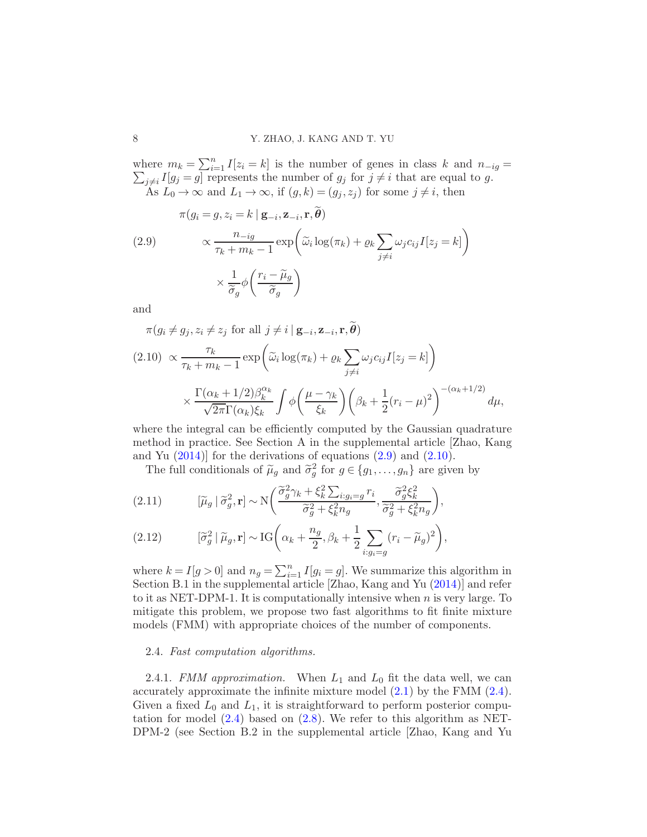where  $m_k = \sum_{i=1}^n I[z_i = k]$  is the number of genes in class k and  $n_{-ig} =$  $\sum_{j\neq i} I[g_j = g]$  represents the number of  $g_j$  for  $j\neq i$  that are equal to g. As  $L_0 \to \infty$  and  $L_1 \to \infty$ , if  $(g, k) = (g_j, z_j)$  for some  $j \neq i$ , then

<span id="page-7-1"></span>(2.9)  
\n
$$
\pi(g_i = g, z_i = k \mid \mathbf{g}_{-i}, \mathbf{z}_{-i}, \mathbf{r}, \boldsymbol{\theta})
$$
\n
$$
\propto \frac{n_{-ig}}{\tau_k + m_k - 1} \exp\left(\tilde{\omega}_i \log(\pi_k) + \varrho_k \sum_{j \neq i} \omega_j c_{ij} I[z_j = k]\right)
$$
\n
$$
\times \frac{1}{\tilde{\sigma}_g} \phi\left(\frac{r_i - \tilde{\mu}_g}{\tilde{\sigma}_g}\right)
$$

and

<span id="page-7-2"></span>
$$
\pi(g_i \neq g_j, z_i \neq z_j \text{ for all } j \neq i \mid \mathbf{g}_{-i}, \mathbf{z}_{-i}, \mathbf{r}, \boldsymbol{\theta})
$$
  
(2.10) 
$$
\propto \frac{\tau_k}{\tau_k + m_k - 1} \exp\left(\tilde{\omega}_i \log(\pi_k) + \varrho_k \sum_{j \neq i} \omega_j c_{ij} I[z_j = k]\right)
$$

$$
\times \frac{\Gamma(\alpha_k + 1/2)\beta_k^{\alpha_k}}{\sqrt{2\pi}\Gamma(\alpha_k)\xi_k} \int \phi\left(\frac{\mu - \gamma_k}{\xi_k}\right) \left(\beta_k + \frac{1}{2}(r_i - \mu)^2\right)^{-(\alpha_k + 1/2)} d\mu,
$$

where the integral can be efficiently computed by the Gaussian quadrature method in practice. See Section A in the supplemental article [Zhao, Kang and Yu  $(2014)$  for the derivations of equations  $(2.9)$  and  $(2.10)$ .

The full conditionals of  $\tilde{\mu}_g$  and  $\tilde{\sigma}_g^2$  for  $g \in \{g_1, \ldots, g_n\}$  are given by

(2.11) 
$$
[\widetilde{\mu}_g \,|\, \widetilde{\sigma}_g^2, \mathbf{r}] \sim \mathcal{N}\bigg(\frac{\widetilde{\sigma}_g^2 \gamma_k + \xi_k^2 \sum_{i:g_i=g} r_i}{\widetilde{\sigma}_g^2 + \xi_k^2 n_g}, \frac{\widetilde{\sigma}_g^2 \xi_k^2}{\widetilde{\sigma}_g^2 + \xi_k^2 n_g}\bigg),
$$

(2.12) 
$$
[\widetilde{\sigma}_g^2 \mid \widetilde{\mu}_g, \mathbf{r}] \sim \text{IG}\bigg(\alpha_k + \frac{n_g}{2}, \beta_k + \frac{1}{2} \sum_{i:g_i = g} (r_i - \widetilde{\mu}_g)^2\bigg),
$$

where  $k = I[g > 0]$  and  $n_g = \sum_{i=1}^n I[g_i = g]$ . We summarize this algorithm in Section B.1 in the supplemental article [Zhao, Kang and Yu [\(2014](#page-23-4))] and refer to it as NET-DPM-1. It is computationally intensive when  $n$  is very large. To mitigate this problem, we propose two fast algorithms to fit finite mixture models (FMM) with appropriate choices of the number of components.

### <span id="page-7-0"></span>2.4. Fast computation algorithms.

2.4.1. FMM approximation. When  $L_1$  and  $L_0$  fit the data well, we can accurately approximate the infinite mixture model  $(2.1)$  by the FMM  $(2.4)$ . Given a fixed  $L_0$  and  $L_1$ , it is straightforward to perform posterior computation for model  $(2.4)$  based on  $(2.8)$ . We refer to this algorithm as NET-DPM-2 (see Section B.2 in the supplemental article [Zhao, Kang and Yu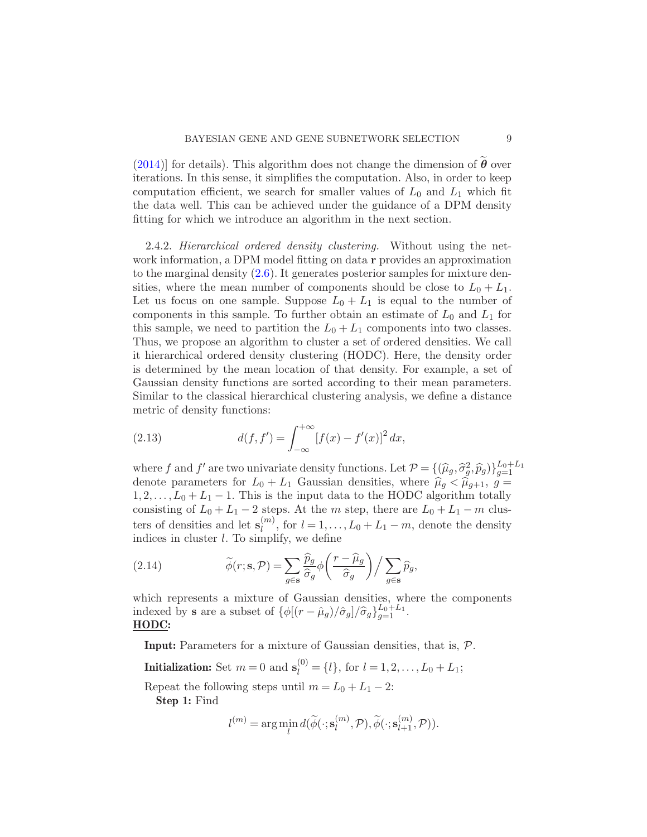[\(2014\)](#page-23-4)] for details). This algorithm does not change the dimension of  $\ddot{\theta}$  over iterations. In this sense, it simplifies the computation. Also, in order to keep computation efficient, we search for smaller values of  $L_0$  and  $L_1$  which fit the data well. This can be achieved under the guidance of a DPM density fitting for which we introduce an algorithm in the next section.

2.4.2. Hierarchical ordered density clustering. Without using the network information, a DPM model fitting on data **r** provides an approximation to the marginal density  $(2.6)$ . It generates posterior samples for mixture densities, where the mean number of components should be close to  $L_0 + L_1$ . Let us focus on one sample. Suppose  $L_0 + L_1$  is equal to the number of components in this sample. To further obtain an estimate of  $L_0$  and  $L_1$  for this sample, we need to partition the  $L_0 + L_1$  components into two classes. Thus, we propose an algorithm to cluster a set of ordered densities. We call it hierarchical ordered density clustering (HODC). Here, the density order is determined by the mean location of that density. For example, a set of Gaussian density functions are sorted according to their mean parameters. Similar to the classical hierarchical clustering analysis, we define a distance metric of density functions:

(2.13) 
$$
d(f, f') = \int_{-\infty}^{+\infty} [f(x) - f'(x)]^2 dx,
$$

where f and f' are two univariate density functions. Let  $\mathcal{P} = \{(\hat{\mu}_g, \hat{\sigma}_g^2, \hat{p}_g)\}_{g=1}^{L_0+L_1}$ denote parameters for  $L_0 + L_1$  Gaussian densities, where  $\hat{\mu}_q < \hat{\mu}_{q+1}$ ,  $\hat{g} =$  $1, 2, \ldots, L_0 + L_1 - 1$ . This is the input data to the HODC algorithm totally consisting of  $L_0 + L_1 - 2$  steps. At the m step, there are  $L_0 + L_1 - m$  clusters of densities and let  $\mathbf{s}_l^{(m)}$  $l_1^{(m)}$ , for  $l = 1, \ldots, L_0 + L_1 - m$ , denote the density indices in cluster  $l$ . To simplify, we define

(2.14) 
$$
\widetilde{\phi}(r; \mathbf{s}, \mathcal{P}) = \sum_{g \in \mathbf{s}} \frac{\widehat{p}_g}{\widehat{\sigma}_g} \phi \left( \frac{r - \widehat{\mu}_g}{\widehat{\sigma}_g} \right) / \sum_{g \in \mathbf{s}} \widehat{p}_g,
$$

which represents a mixture of Gaussian densities, where the components indexed by **s** are a subset of  $\{\phi[(r - \hat{\mu}_g)/\hat{\sigma}_g\}_{g=1}^{L_0+L_1}$ . HODC:

Input: Parameters for a mixture of Gaussian densities, that is, P.

**Initialization:** Set  $m = 0$  and  $\mathbf{s}_l^{(0)} = \{l\}$ , for  $l = 1, 2, ..., L_0 + L_1$ ;

Repeat the following steps until  $m = L_0 + L_1 - 2$ :

Step 1: Find

$$
l^{(m)} = \arg\min_{l} d(\widetilde{\phi}(\cdot; \mathbf{s}_l^{(m)}, \mathcal{P}), \widetilde{\phi}(\cdot; \mathbf{s}_{l+1}^{(m)}, \mathcal{P})).
$$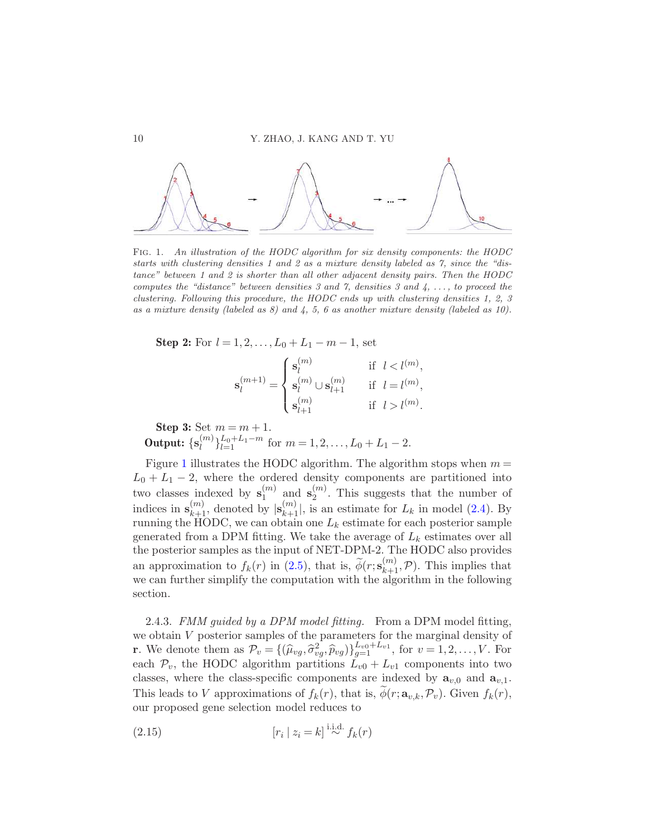

<span id="page-9-0"></span>FIG. 1. An illustration of the HODC algorithm for six density components: the HODC starts with clustering densities 1 and 2 as a mixture density labeled as 7, since the "distance" between 1 and 2 is shorter than all other adjacent density pairs. Then the HODC computes the "distance" between densities 3 and 7, densities 3 and 4,  $\dots$ , to proceed the clustering. Following this procedure, the HODC ends up with clustering densities 1, 2, 3 as a mixture density (labeled as  $8$ ) and  $4$ , 5, 6 as another mixture density (labeled as 10).

**Step 2:** For  $l = 1, 2, ..., L_0 + L_1 - m - 1$ , set

$$
\mathbf{s}_l^{(m+1)} = \begin{cases} \mathbf{s}_l^{(m)} & \text{if } l < l^{(m)}, \\ \mathbf{s}_l^{(m)} \cup \mathbf{s}_{l+1}^{(m)} & \text{if } l = l^{(m)}, \\ \mathbf{s}_{l+1}^{(m)} & \text{if } l > l^{(m)}. \end{cases}
$$

Step 3: Set  $m = m + 1$ . Output:  $\{\mathbf{s}_l^{(m)}\}$  $\binom{m}{l}\sum_{l=1}^{L_0+L_1-m}$  for  $m=1,2,\ldots,L_0+L_1-2$ .

Figure [1](#page-9-0) illustrates the HODC algorithm. The algorithm stops when  $m =$  $L_0 + L_1 - 2$ , where the ordered density components are partitioned into two classes indexed by  $\mathbf{s}_1^{(m)}$  $\binom{m}{1}$  and  $\mathbf{s}_2^{(m)}$  $2^{(m)}$ . This suggests that the number of indices in  $\mathbf{s}_{k+1}^{(m)}$ , denoted by  $|\mathbf{s}_{k+1}^{(m)}|$ , is an estimate for  $L_k$  in model [\(2.4\)](#page-5-0). By running the HODC, we can obtain one  $L_k$  estimate for each posterior sample generated from a DPM fitting. We take the average of  $L_k$  estimates over all the posterior samples as the input of NET-DPM-2. The HODC also provides an approximation to  $f_k(r)$  in [\(2.5\)](#page-6-2), that is,  $\widetilde{\phi}(r; s_{k+1}^{(m)}, \mathcal{P})$ . This implies that we can further simplify the computation with the algorithm in the following section.

2.4.3. FMM guided by a DPM model fitting. From a DPM model fitting, we obtain V posterior samples of the parameters for the marginal density of **r**. We denote them as  $\mathcal{P}_v = \{(\widehat{\mu}_{vg}, \widehat{\sigma}_{vg}^2, \widehat{p}_{vg})\}_{g=1}^{L_v 0 + L_v 1}$ , for  $v = 1, 2, ..., V$ . For each  $\mathcal{P}_v$ , the HODC algorithm partitions  $\tilde{L}_{v0} + L_{v1}$  components into two classes, where the class-specific components are indexed by  $\mathbf{a}_{v,0}$  and  $\mathbf{a}_{v,1}$ . This leads to V approximations of  $f_k(r)$ , that is,  $\phi(r; \mathbf{a}_{v,k}, \mathcal{P}_v)$ . Given  $f_k(r)$ , our proposed gene selection model reduces to

i.i.d.

$$
[r_i \mid z_i = k] \stackrel{\text{1.i.d.}}{\sim} f_k(r)
$$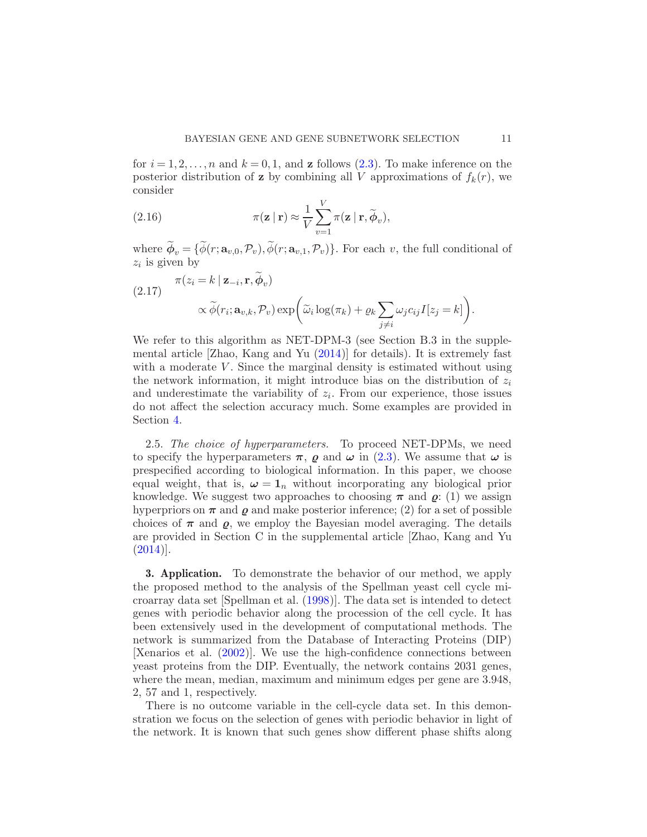for  $i = 1, 2, \ldots, n$  and  $k = 0, 1$ , and **z** follows [\(2.3\)](#page-5-1). To make inference on the posterior distribution of **z** by combining all V approximations of  $f_k(r)$ , we consider

(2.16) 
$$
\pi(\mathbf{z} | \mathbf{r}) \approx \frac{1}{V} \sum_{v=1}^{V} \pi(\mathbf{z} | \mathbf{r}, \widetilde{\boldsymbol{\phi}}_{v}),
$$

where  $\phi_v = {\phi(r; \mathbf{a}_{v,0}, \mathcal{P}_v), \phi(r; \mathbf{a}_{v,1}, \mathcal{P}_v)}$ . For each v, the full conditional of  $z_i$  is given by

(2.17) 
$$
\pi(z_i = k | \mathbf{z}_{-i}, \mathbf{r}, \phi_v) \propto \widetilde{\phi}(r_i; \mathbf{a}_{v,k}, \mathcal{P}_v) \exp\left(\widetilde{\omega}_i \log(\pi_k) + \varrho_k \sum_{j \neq i} \omega_j c_{ij} I[z_j = k]\right).
$$

We refer to this algorithm as NET-DPM-3 (see Section B.3 in the supplemental article [Zhao, Kang and Yu [\(2014](#page-23-4))] for details). It is extremely fast with a moderate  $V$ . Since the marginal density is estimated without using the network information, it might introduce bias on the distribution of  $z_i$ and underestimate the variability of  $z_i$ . From our experience, those issues do not affect the selection accuracy much. Some examples are provided in Section [4.](#page-14-0)

2.5. The choice of hyperparameters. To proceed NET-DPMs, we need to specify the hyperparameters  $\pi$ ,  $\rho$  and  $\omega$  in [\(2.3\)](#page-5-1). We assume that  $\omega$  is prespecified according to biological information. In this paper, we choose equal weight, that is,  $\omega = 1_n$  without incorporating any biological prior knowledge. We suggest two approaches to choosing  $\pi$  and  $\varrho$ : (1) we assign hyperpriors on  $\pi$  and  $\rho$  and make posterior inference; (2) for a set of possible choices of  $\pi$  and  $\rho$ , we employ the Bayesian model averaging. The details are provided in Section C in the supplemental article [Zhao, Kang and Yu  $(2014)$ .

<span id="page-10-0"></span>3. Application. To demonstrate the behavior of our method, we apply the proposed method to the analysis of the Spellman yeast cell cycle microarray data set [Spellman et al. [\(1998](#page-22-16))]. The data set is intended to detect genes with periodic behavior along the procession of the cell cycle. It has been extensively used in the development of computational methods. The network is summarized from the Database of Interacting Proteins (DIP) [Xenarios et al. [\(2002\)](#page-23-5)]. We use the high-confidence connections between yeast proteins from the DIP. Eventually, the network contains 2031 genes, where the mean, median, maximum and minimum edges per gene are 3.948, 2, 57 and 1, respectively.

There is no outcome variable in the cell-cycle data set. In this demonstration we focus on the selection of genes with periodic behavior in light of the network. It is known that such genes show different phase shifts along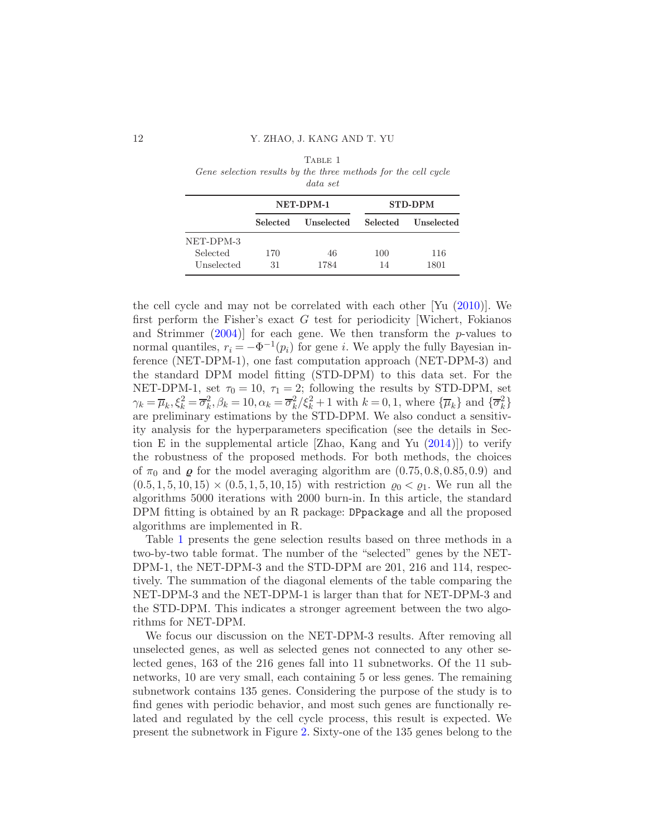<span id="page-11-0"></span>TABLE 1 Gene selection results by the three methods for the cell cycle data set

|            |                 | NET-DPM-1         | <b>STD-DPM</b>  |            |  |
|------------|-----------------|-------------------|-----------------|------------|--|
|            | <b>Selected</b> | <b>Unselected</b> | <b>Selected</b> | Unselected |  |
| NET-DPM-3  |                 |                   |                 |            |  |
| Selected   | 170             | 46                | 100             | 116        |  |
| Unselected | 31              | 1784              | 14              | 1801       |  |

the cell cycle and may not be correlated with each other [Yu [\(2010](#page-23-6))]. We first perform the Fisher's exact G test for periodicity [Wichert, Fokianos and Strimmer  $(2004)$  for each gene. We then transform the p-values to normal quantiles,  $r_i = -\Phi^{-1}(p_i)$  for gene i. We apply the fully Bayesian inference (NET-DPM-1), one fast computation approach (NET-DPM-3) and the standard DPM model fitting (STD-DPM) to this data set. For the NET-DPM-1, set  $\tau_0 = 10$ ,  $\tau_1 = 2$ ; following the results by STD-DPM, set  $\gamma_k = \overline{\mu}_k$ ,  $\xi_k^2 = \overline{\sigma}_k^2$ ,  $\beta_k = 10$ ,  $\alpha_k = \overline{\sigma}_k^2 / \xi_k^2 + 1$  with  $k = 0, 1$ , where  $\{\overline{\mu}_k\}$  and  $\{\overline{\sigma}_k^2\}$ are preliminary estimations by the STD-DPM. We also conduct a sensitivity analysis for the hyperparameters specification (see the details in Section E in the supplemental article [Zhao, Kang and Yu  $(2014)$ ]) to verify the robustness of the proposed methods. For both methods, the choices of  $\pi_0$  and  $\rho$  for the model averaging algorithm are  $(0.75, 0.8, 0.85, 0.9)$  and  $(0.5, 1, 5, 10, 15) \times (0.5, 1, 5, 10, 15)$  with restriction  $\rho_0 < \rho_1$ . We run all the algorithms 5000 iterations with 2000 burn-in. In this article, the standard DPM fitting is obtained by an R package: DPpackage and all the proposed algorithms are implemented in R.

Table [1](#page-11-0) presents the gene selection results based on three methods in a two-by-two table format. The number of the "selected" genes by the NET-DPM-1, the NET-DPM-3 and the STD-DPM are 201, 216 and 114, respectively. The summation of the diagonal elements of the table comparing the NET-DPM-3 and the NET-DPM-1 is larger than that for NET-DPM-3 and the STD-DPM. This indicates a stronger agreement between the two algorithms for NET-DPM.

We focus our discussion on the NET-DPM-3 results. After removing all unselected genes, as well as selected genes not connected to any other selected genes, 163 of the 216 genes fall into 11 subnetworks. Of the 11 subnetworks, 10 are very small, each containing 5 or less genes. The remaining subnetwork contains 135 genes. Considering the purpose of the study is to find genes with periodic behavior, and most such genes are functionally related and regulated by the cell cycle process, this result is expected. We present the subnetwork in Figure [2.](#page-12-0) Sixty-one of the 135 genes belong to the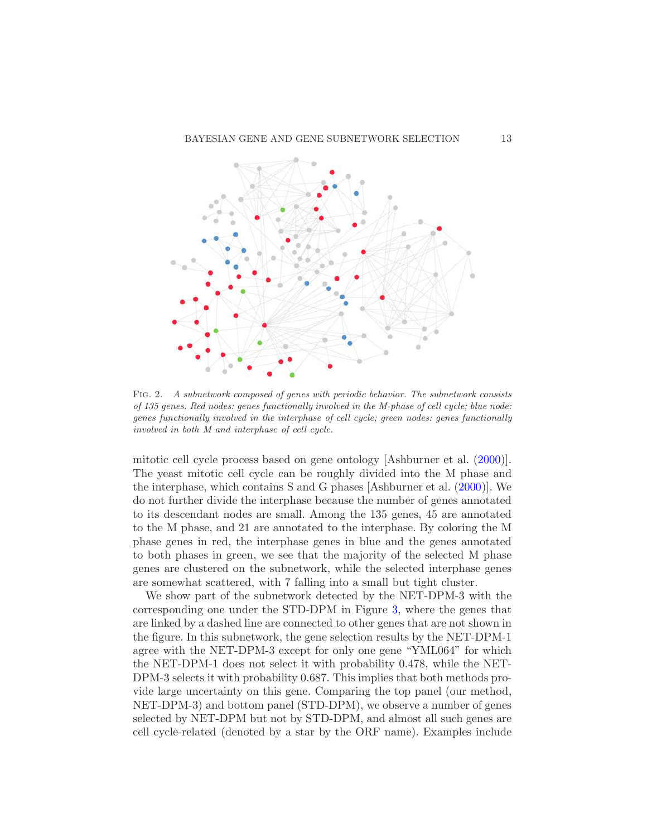

<span id="page-12-0"></span>Fig. 2. A subnetwork composed of genes with periodic behavior. The subnetwork consists of 135 genes. Red nodes: genes functionally involved in the M-phase of cell cycle; blue node: genes functionally involved in the interphase of cell cycle; green nodes: genes functionally involved in both M and interphase of cell cycle.

mitotic cell cycle process based on gene ontology [Ashburner et al. [\(2000](#page-21-8))]. The yeast mitotic cell cycle can be roughly divided into the M phase and the interphase, which contains S and G phases [Ashburner et al. [\(2000](#page-21-8))]. We do not further divide the interphase because the number of genes annotated to its descendant nodes are small. Among the 135 genes, 45 are annotated to the M phase, and 21 are annotated to the interphase. By coloring the M phase genes in red, the interphase genes in blue and the genes annotated to both phases in green, we see that the majority of the selected M phase genes are clustered on the subnetwork, while the selected interphase genes are somewhat scattered, with 7 falling into a small but tight cluster.

We show part of the subnetwork detected by the NET-DPM-3 with the corresponding one under the STD-DPM in Figure [3,](#page-13-0) where the genes that are linked by a dashed line are connected to other genes that are not shown in the figure. In this subnetwork, the gene selection results by the NET-DPM-1 agree with the NET-DPM-3 except for only one gene "YML064" for which the NET-DPM-1 does not select it with probability 0.478, while the NET-DPM-3 selects it with probability 0.687. This implies that both methods provide large uncertainty on this gene. Comparing the top panel (our method, NET-DPM-3) and bottom panel (STD-DPM), we observe a number of genes selected by NET-DPM but not by STD-DPM, and almost all such genes are cell cycle-related (denoted by a star by the ORF name). Examples include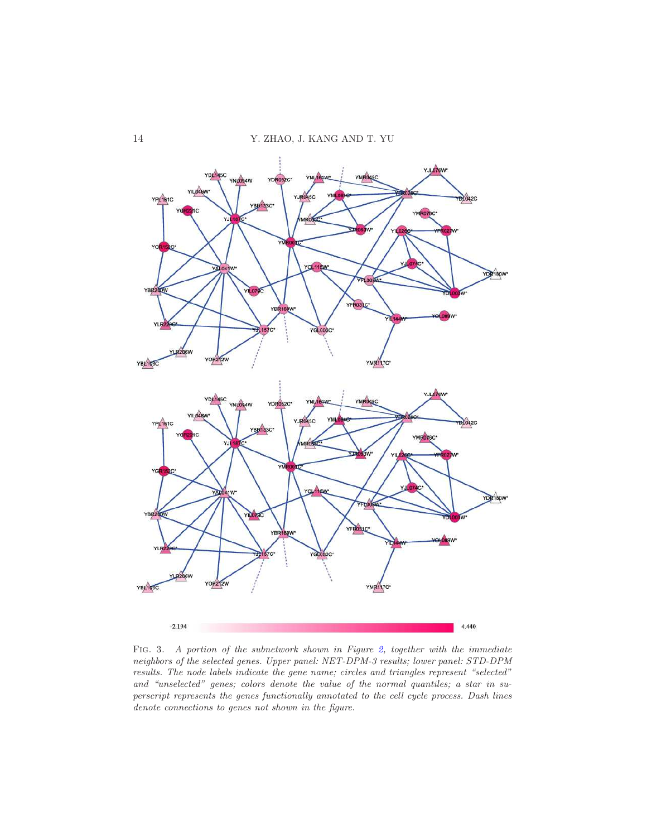

<span id="page-13-0"></span>Fig. 3. A portion of the subnetwork shown in Figure [2,](#page-12-0) together with the immediate neighbors of the selected genes. Upper panel: NET-DPM-3 results; lower panel: STD-DPM results. The node labels indicate the gene name; circles and triangles represent "selected" and "unselected" genes; colors denote the value of the normal quantiles; a star in superscript represents the genes functionally annotated to the cell cycle process. Dash lines denote connections to genes not shown in the figure.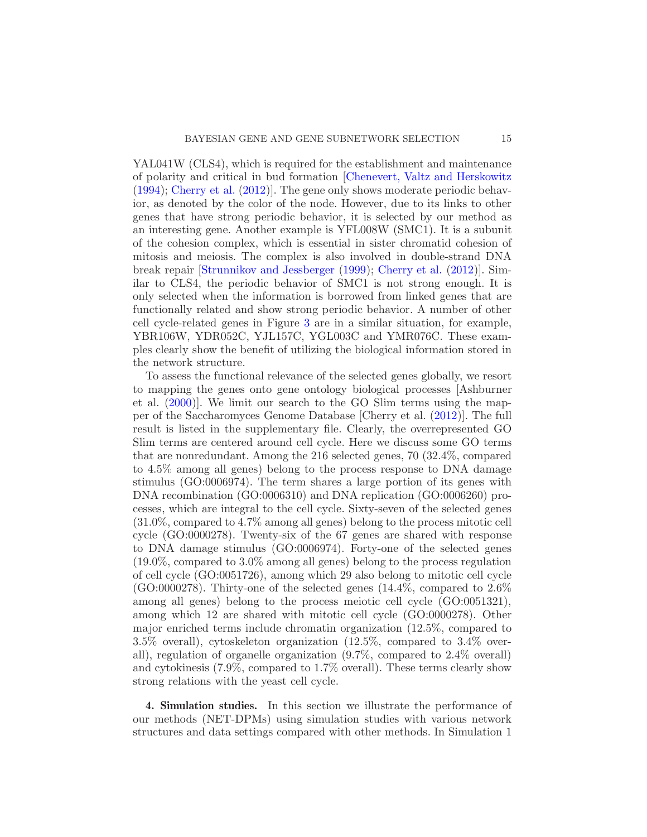YAL041W (CLS4), which is required for the establishment and maintenance of polarity and critical in bud formation [\[Chenevert, Valtz and Herskowitz](#page-21-9) [\(1994\)](#page-21-9); [Cherry et al.](#page-21-10) [\(2012\)](#page-21-10)]. The gene only shows moderate periodic behavior, as denoted by the color of the node. However, due to its links to other genes that have strong periodic behavior, it is selected by our method as an interesting gene. Another example is YFL008W (SMC1). It is a subunit of the cohesion complex, which is essential in sister chromatid cohesion of mitosis and meiosis. The complex is also involved in double-strand DNA break repair [\[Strunnikov and Jessberger](#page-22-17) [\(1999](#page-22-17)); [Cherry et al.](#page-21-10) [\(2012](#page-21-10))]. Similar to CLS4, the periodic behavior of SMC1 is not strong enough. It is only selected when the information is borrowed from linked genes that are functionally related and show strong periodic behavior. A number of other cell cycle-related genes in Figure [3](#page-13-0) are in a similar situation, for example, YBR106W, YDR052C, YJL157C, YGL003C and YMR076C. These examples clearly show the benefit of utilizing the biological information stored in the network structure.

To assess the functional relevance of the selected genes globally, we resort to mapping the genes onto gene ontology biological processes [Ashburner et al. [\(2000](#page-21-8))]. We limit our search to the GO Slim terms using the mapper of the Saccharomyces Genome Database [Cherry et al. [\(2012\)](#page-21-10)]. The full result is listed in the supplementary file. Clearly, the overrepresented GO Slim terms are centered around cell cycle. Here we discuss some GO terms that are nonredundant. Among the 216 selected genes, 70 (32.4%, compared to 4.5% among all genes) belong to the process response to DNA damage stimulus (GO:0006974). The term shares a large portion of its genes with DNA recombination (GO:0006310) and DNA replication (GO:0006260) processes, which are integral to the cell cycle. Sixty-seven of the selected genes (31.0%, compared to 4.7% among all genes) belong to the process mitotic cell cycle (GO:0000278). Twenty-six of the 67 genes are shared with response to DNA damage stimulus (GO:0006974). Forty-one of the selected genes (19.0%, compared to 3.0% among all genes) belong to the process regulation of cell cycle (GO:0051726), among which 29 also belong to mitotic cell cycle  $(GO:0000278)$ . Thirty-one of the selected genes  $(14.4\%,$  compared to  $2.6\%$ among all genes) belong to the process meiotic cell cycle (GO:0051321), among which 12 are shared with mitotic cell cycle (GO:0000278). Other major enriched terms include chromatin organization (12.5%, compared to 3.5% overall), cytoskeleton organization (12.5%, compared to 3.4% overall), regulation of organelle organization (9.7%, compared to 2.4% overall) and cytokinesis (7.9%, compared to 1.7% overall). These terms clearly show strong relations with the yeast cell cycle.

<span id="page-14-0"></span>4. Simulation studies. In this section we illustrate the performance of our methods (NET-DPMs) using simulation studies with various network structures and data settings compared with other methods. In Simulation 1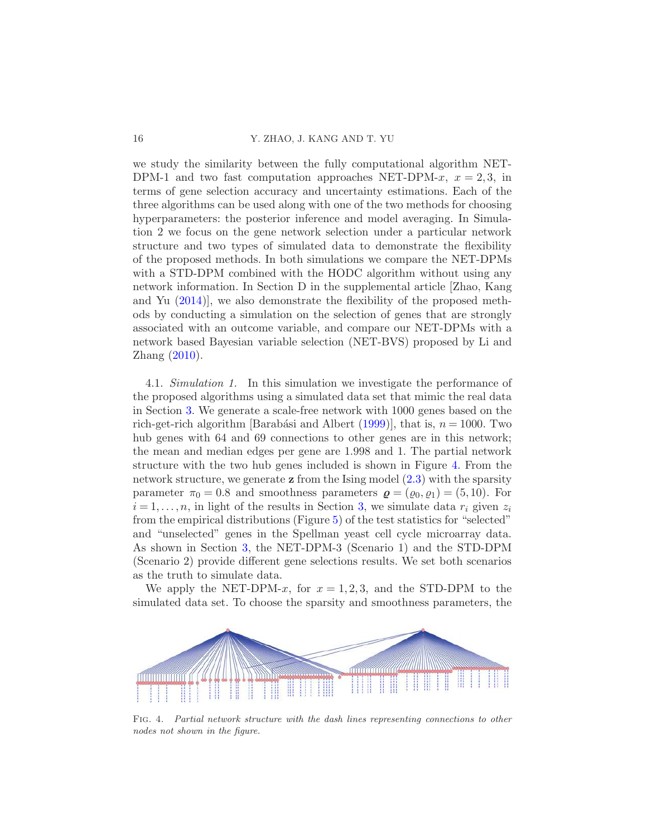we study the similarity between the fully computational algorithm NET-DPM-1 and two fast computation approaches NET-DPM-x,  $x = 2,3$ , in terms of gene selection accuracy and uncertainty estimations. Each of the three algorithms can be used along with one of the two methods for choosing hyperparameters: the posterior inference and model averaging. In Simulation 2 we focus on the gene network selection under a particular network structure and two types of simulated data to demonstrate the flexibility of the proposed methods. In both simulations we compare the NET-DPMs with a STD-DPM combined with the HODC algorithm without using any network information. In Section D in the supplemental article [Zhao, Kang and Yu [\(2014](#page-23-4))], we also demonstrate the flexibility of the proposed methods by conducting a simulation on the selection of genes that are strongly associated with an outcome variable, and compare our NET-DPMs with a network based Bayesian variable selection (NET-BVS) proposed by Li and Zhang  $(2010)$ .

4.1. Simulation 1. In this simulation we investigate the performance of the proposed algorithms using a simulated data set that mimic the real data in Section [3.](#page-10-0) We generate a scale-free network with 1000 genes based on the rich-get-rich algorithm [Barabási and Albert [\(1999](#page-21-11))], that is,  $n = 1000$ . Two hub genes with 64 and 69 connections to other genes are in this network; the mean and median edges per gene are 1.998 and 1. The partial network structure with the two hub genes included is shown in Figure [4.](#page-15-0) From the network structure, we generate  $z$  from the Ising model  $(2.3)$  with the sparsity parameter  $\pi_0 = 0.8$  and smoothness parameters  $\boldsymbol{\varrho} = (\varrho_0, \varrho_1) = (5, 10)$ . For  $i = 1, \ldots, n$ , in light of the results in Section [3,](#page-10-0) we simulate data  $r_i$  given  $z_i$ from the empirical distributions (Figure [5\)](#page-16-0) of the test statistics for "selected" and "unselected" genes in the Spellman yeast cell cycle microarray data. As shown in Section [3,](#page-10-0) the NET-DPM-3 (Scenario 1) and the STD-DPM (Scenario 2) provide different gene selections results. We set both scenarios as the truth to simulate data.

We apply the NET-DPM-x, for  $x = 1, 2, 3$ , and the STD-DPM to the simulated data set. To choose the sparsity and smoothness parameters, the



<span id="page-15-0"></span>Fig. 4. Partial network structure with the dash lines representing connections to other nodes not shown in the figure.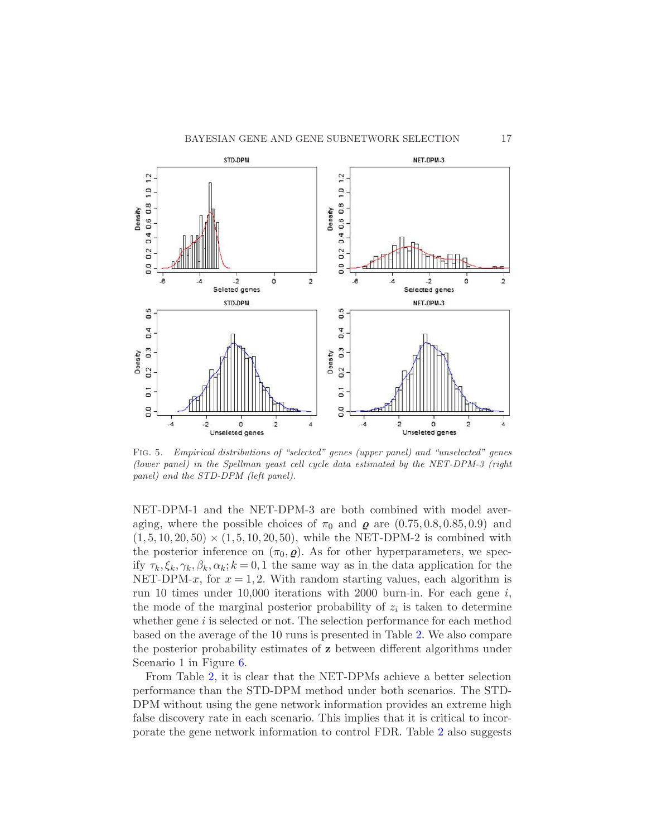

<span id="page-16-0"></span>Fig. 5. Empirical distributions of "selected" genes (upper panel) and "unselected" genes (lower panel) in the Spellman yeast cell cycle data estimated by the NET-DPM-3 (right panel) and the STD-DPM (left panel).

NET-DPM-1 and the NET-DPM-3 are both combined with model averaging, where the possible choices of  $\pi_0$  and  $\varrho$  are  $(0.75, 0.8, 0.85, 0.9)$  and  $(1, 5, 10, 20, 50) \times (1, 5, 10, 20, 50)$ , while the NET-DPM-2 is combined with the posterior inference on  $(\pi_0, \rho)$ . As for other hyperparameters, we specify  $\tau_k, \xi_k, \gamma_k, \beta_k, \alpha_k; k = 0, 1$  the same way as in the data application for the NET-DPM-x, for  $x = 1, 2$ . With random starting values, each algorithm is run 10 times under 10,000 iterations with 2000 burn-in. For each gene i, the mode of the marginal posterior probability of  $z_i$  is taken to determine whether gene i is selected or not. The selection performance for each method based on the average of the 10 runs is presented in Table [2.](#page-17-0) We also compare the posterior probability estimates of z between different algorithms under Scenario 1 in Figure [6.](#page-17-1)

From Table [2,](#page-17-0) it is clear that the NET-DPMs achieve a better selection performance than the STD-DPM method under both scenarios. The STD-DPM without using the gene network information provides an extreme high false discovery rate in each scenario. This implies that it is critical to incorporate the gene network information to control FDR. Table [2](#page-17-0) also suggests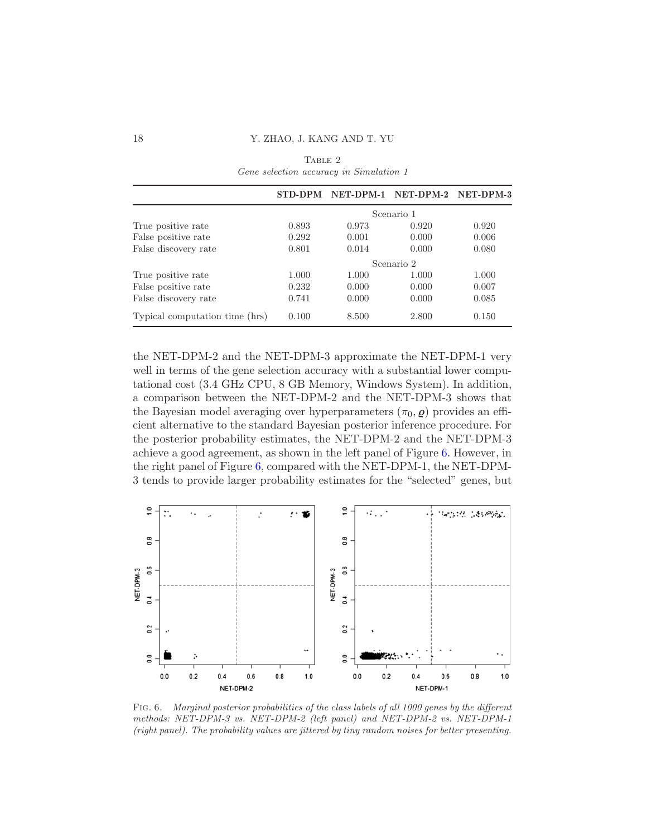<span id="page-17-0"></span>

|                                |            |       | STD-DPM NET-DPM-1 NET-DPM-2 NET-DPM-3 |       |  |  |
|--------------------------------|------------|-------|---------------------------------------|-------|--|--|
|                                | Scenario 1 |       |                                       |       |  |  |
| True positive rate             | 0.893      | 0.973 | 0.920                                 | 0.920 |  |  |
| False positive rate            | 0.292      | 0.001 | 0.000                                 | 0.006 |  |  |
| False discovery rate           | 0.801      | 0.014 | 0.000                                 | 0.080 |  |  |
|                                | Scenario 2 |       |                                       |       |  |  |
| True positive rate             | 1.000      | 1.000 | 1.000                                 | 1.000 |  |  |
| False positive rate            | 0.232      | 0.000 | 0.000                                 | 0.007 |  |  |
| False discovery rate           | 0.741      | 0.000 | 0.000                                 | 0.085 |  |  |
| Typical computation time (hrs) | 0.100      | 8.500 | 2.800                                 | 0.150 |  |  |

TABLE 2 Gene selection accuracy in Simulation 1

the NET-DPM-2 and the NET-DPM-3 approximate the NET-DPM-1 very well in terms of the gene selection accuracy with a substantial lower computational cost (3.4 GHz CPU, 8 GB Memory, Windows System). In addition, a comparison between the NET-DPM-2 and the NET-DPM-3 shows that the Bayesian model averaging over hyperparameters  $(\pi_0, \rho)$  provides an efficient alternative to the standard Bayesian posterior inference procedure. For the posterior probability estimates, the NET-DPM-2 and the NET-DPM-3 achieve a good agreement, as shown in the left panel of Figure [6.](#page-17-1) However, in the right panel of Figure [6,](#page-17-1) compared with the NET-DPM-1, the NET-DPM-3 tends to provide larger probability estimates for the "selected" genes, but



<span id="page-17-1"></span>Fig. 6. Marginal posterior probabilities of the class labels of all 1000 genes by the different methods: NET-DPM-3 vs. NET-DPM-2 (left panel) and NET-DPM-2 vs. NET-DPM-1 (right panel). The probability values are jittered by tiny random noises for better presenting.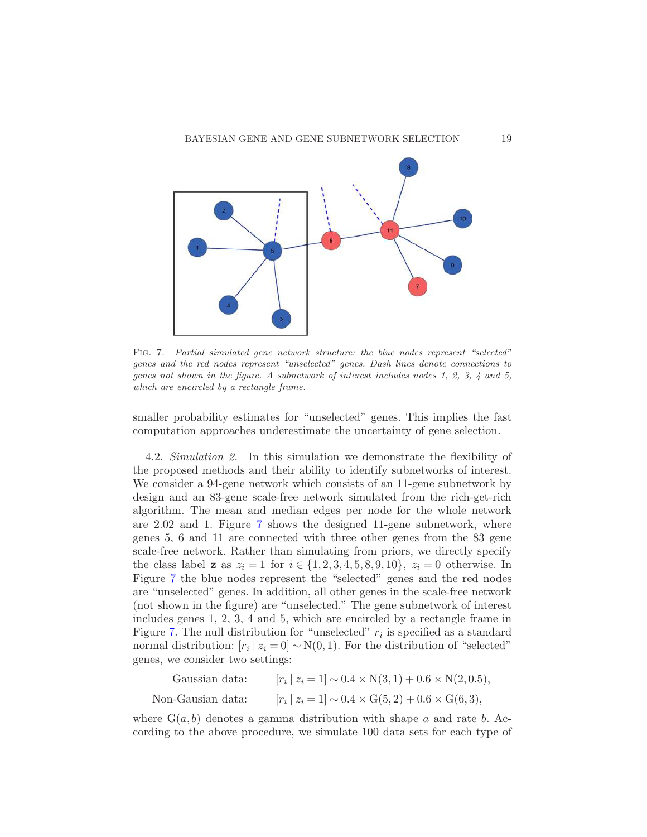

<span id="page-18-1"></span>Fig. 7. Partial simulated gene network structure: the blue nodes represent "selected" genes and the red nodes represent "unselected" genes. Dash lines denote connections to genes not shown in the figure. A subnetwork of interest includes nodes 1, 2, 3, 4 and 5, which are encircled by a rectangle frame.

smaller probability estimates for "unselected" genes. This implies the fast computation approaches underestimate the uncertainty of gene selection.

<span id="page-18-0"></span>4.2. Simulation 2. In this simulation we demonstrate the flexibility of the proposed methods and their ability to identify subnetworks of interest. We consider a 94-gene network which consists of an 11-gene subnetwork by design and an 83-gene scale-free network simulated from the rich-get-rich algorithm. The mean and median edges per node for the whole network are 2.02 and 1. Figure [7](#page-18-1) shows the designed 11-gene subnetwork, where genes 5, 6 and 11 are connected with three other genes from the 83 gene scale-free network. Rather than simulating from priors, we directly specify the class label **z** as  $z_i = 1$  for  $i \in \{1, 2, 3, 4, 5, 8, 9, 10\}$ ,  $z_i = 0$  otherwise. In Figure [7](#page-18-1) the blue nodes represent the "selected" genes and the red nodes are "unselected" genes. In addition, all other genes in the scale-free network (not shown in the figure) are "unselected." The gene subnetwork of interest includes genes 1, 2, 3, 4 and 5, which are encircled by a rectangle frame in Figure [7.](#page-18-1) The null distribution for "unselected"  $r_i$  is specified as a standard normal distribution:  $[r_i | z_i = 0] \sim N(0, 1)$ . For the distribution of "selected" genes, we consider two settings:

| Gaussian data:    | $[r_i   z_i = 1] \sim 0.4 \times N(3, 1) + 0.6 \times N(2, 0.5),$ |
|-------------------|-------------------------------------------------------------------|
| Non-Gausian data: | $[r_i   z_i = 1] \sim 0.4 \times G(5,2) + 0.6 \times G(6,3),$     |

where  $G(a, b)$  denotes a gamma distribution with shape a and rate b. According to the above procedure, we simulate 100 data sets for each type of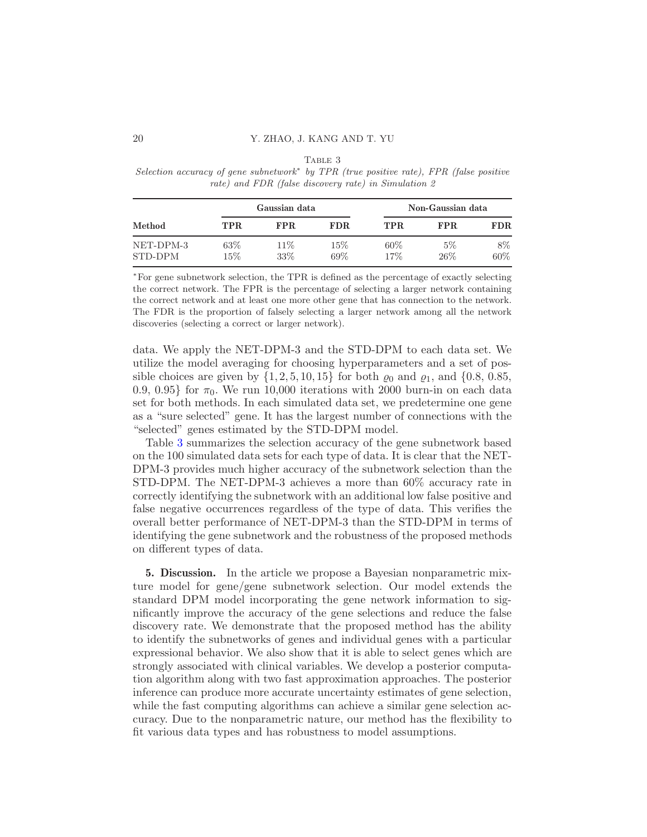<span id="page-19-1"></span>TABLE 3 Selection accuracy of gene subnetwork<sup>\*</sup> by TPR (true positive rate), FPR (false positive rate) and FDR (false discovery rate) in Simulation 2

| Method               | Gaussian data    |               |               | Non-Gaussian data |           |              |
|----------------------|------------------|---------------|---------------|-------------------|-----------|--------------|
|                      | TPR.             | FPR.          | FDR.          | TPR.              | FPR.      | <b>FDR</b>   |
| NET-DPM-3<br>STD-DPM | $63\%$<br>$15\%$ | $11\%$<br>33% | $15\%$<br>69% | 60%<br>17%        | 5%<br>26% | 8%<br>$60\%$ |

<sup>∗</sup>For gene subnetwork selection, the TPR is defined as the percentage of exactly selecting the correct network. The FPR is the percentage of selecting a larger network containing the correct network and at least one more other gene that has connection to the network. The FDR is the proportion of falsely selecting a larger network among all the network discoveries (selecting a correct or larger network).

data. We apply the NET-DPM-3 and the STD-DPM to each data set. We utilize the model averaging for choosing hyperparameters and a set of possible choices are given by  $\{1, 2, 5, 10, 15\}$  for both  $\varrho_0$  and  $\varrho_1$ , and  $\{0.8, 0.85,$ 0.9, 0.95} for  $\pi_0$ . We run 10,000 iterations with 2000 burn-in on each data set for both methods. In each simulated data set, we predetermine one gene as a "sure selected" gene. It has the largest number of connections with the "selected" genes estimated by the STD-DPM model.

Table [3](#page-19-1) summarizes the selection accuracy of the gene subnetwork based on the 100 simulated data sets for each type of data. It is clear that the NET-DPM-3 provides much higher accuracy of the subnetwork selection than the STD-DPM. The NET-DPM-3 achieves a more than 60% accuracy rate in correctly identifying the subnetwork with an additional low false positive and false negative occurrences regardless of the type of data. This verifies the overall better performance of NET-DPM-3 than the STD-DPM in terms of identifying the gene subnetwork and the robustness of the proposed methods on different types of data.

<span id="page-19-0"></span>5. Discussion. In the article we propose a Bayesian nonparametric mixture model for gene/gene subnetwork selection. Our model extends the standard DPM model incorporating the gene network information to significantly improve the accuracy of the gene selections and reduce the false discovery rate. We demonstrate that the proposed method has the ability to identify the subnetworks of genes and individual genes with a particular expressional behavior. We also show that it is able to select genes which are strongly associated with clinical variables. We develop a posterior computation algorithm along with two fast approximation approaches. The posterior inference can produce more accurate uncertainty estimates of gene selection, while the fast computing algorithms can achieve a similar gene selection accuracy. Due to the nonparametric nature, our method has the flexibility to fit various data types and has robustness to model assumptions.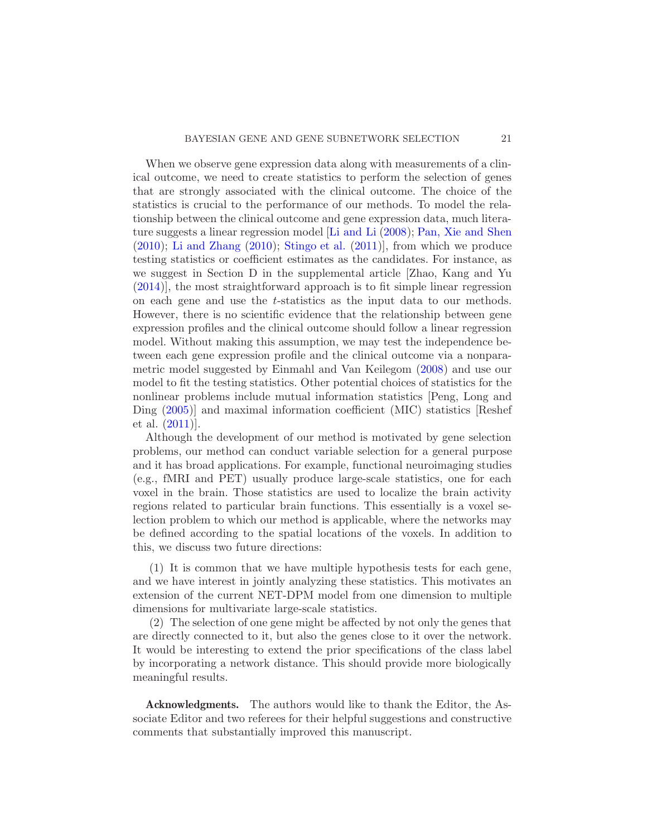When we observe gene expression data along with measurements of a clinical outcome, we need to create statistics to perform the selection of genes that are strongly associated with the clinical outcome. The choice of the statistics is crucial to the performance of our methods. To model the relationship between the clinical outcome and gene expression data, much literature suggests a linear regression model [\[Li and Li](#page-22-1) [\(2008](#page-22-1)); [Pan, Xie and Shen](#page-22-2)  $(2010)$ ; [Li and Zhang](#page-22-4)  $(2010)$ ; [Stingo et al.](#page-22-5)  $(2011)$  $(2011)$ , from which we produce testing statistics or coefficient estimates as the candidates. For instance, as we suggest in Section D in the supplemental article [Zhao, Kang and Yu [\(2014\)](#page-23-4)], the most straightforward approach is to fit simple linear regression on each gene and use the t-statistics as the input data to our methods. However, there is no scientific evidence that the relationship between gene expression profiles and the clinical outcome should follow a linear regression model. Without making this assumption, we may test the independence between each gene expression profile and the clinical outcome via a nonparametric model suggested by Einmahl and Van Keilegom [\(2008](#page-21-12)) and use our model to fit the testing statistics. Other potential choices of statistics for the nonlinear problems include mutual information statistics [Peng, Long and Ding [\(2005](#page-22-18))] and maximal information coefficient (MIC) statistics [Reshef et al. [\(2011\)](#page-22-19)].

Although the development of our method is motivated by gene selection problems, our method can conduct variable selection for a general purpose and it has broad applications. For example, functional neuroimaging studies (e.g., fMRI and PET) usually produce large-scale statistics, one for each voxel in the brain. Those statistics are used to localize the brain activity regions related to particular brain functions. This essentially is a voxel selection problem to which our method is applicable, where the networks may be defined according to the spatial locations of the voxels. In addition to this, we discuss two future directions:

(1) It is common that we have multiple hypothesis tests for each gene, and we have interest in jointly analyzing these statistics. This motivates an extension of the current NET-DPM model from one dimension to multiple dimensions for multivariate large-scale statistics.

(2) The selection of one gene might be affected by not only the genes that are directly connected to it, but also the genes close to it over the network. It would be interesting to extend the prior specifications of the class label by incorporating a network distance. This should provide more biologically meaningful results.

Acknowledgments. The authors would like to thank the Editor, the Associate Editor and two referees for their helpful suggestions and constructive comments that substantially improved this manuscript.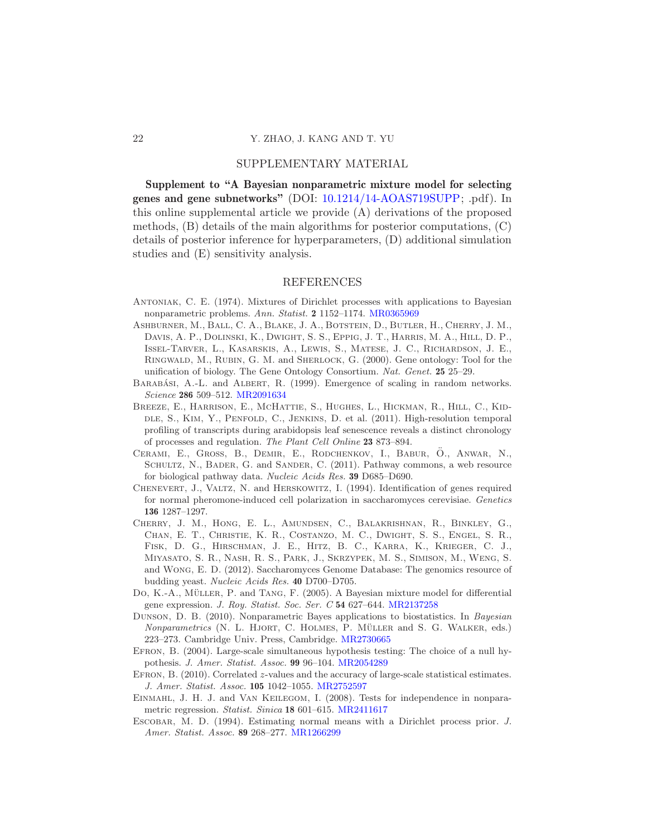### SUPPLEMENTARY MATERIAL

Supplement to "A Bayesian nonparametric mixture model for selecting genes and gene subnetworks" (DOI: [10.1214/14-AOAS719SUPP;](http://dx.doi.org/10.1214/14-AOAS719SUPP) .pdf). In this online supplemental article we provide (A) derivations of the proposed methods, (B) details of the main algorithms for posterior computations, (C) details of posterior inference for hyperparameters, (D) additional simulation studies and (E) sensitivity analysis.

#### REFERENCES

- <span id="page-21-4"></span>Antoniak, C. E. (1974). Mixtures of Dirichlet processes with applications to Bayesian nonparametric problems. Ann. Statist. 2 1152–1174. [MR0365969](http://www.ams.org/mathscinet-getitem?mr=0365969)
- <span id="page-21-8"></span>Ashburner, M., Ball, C. A., Blake, J. A., Botstein, D., Butler, H., Cherry, J. M., Davis, A. P., Dolinski, K., Dwight, S. S., Eppig, J. T., Harris, M. A., Hill, D. P., Issel-Tarver, L., Kasarskis, A., Lewis, S., Matese, J. C., Richardson, J. E., Ringwald, M., Rubin, G. M. and Sherlock, G. (2000). Gene ontology: Tool for the unification of biology. The Gene Ontology Consortium. Nat. Genet. 25 25–29.
- <span id="page-21-11"></span>BARABÁSI, A.-L. and ALBERT, R. (1999). Emergence of scaling in random networks. Science 286 509–512. [MR2091634](http://www.ams.org/mathscinet-getitem?mr=2091634)
- <span id="page-21-1"></span>Breeze, E., Harrison, E., McHattie, S., Hughes, L., Hickman, R., Hill, C., Kid-DLE, S., KIM, Y., PENFOLD, C., JENKINS, D. et al. (2011). High-resolution temporal profiling of transcripts during arabidopsis leaf senescence reveals a distinct chronology of processes and regulation. The Plant Cell Online 23 873–894.
- <span id="page-21-0"></span>CERAMI, E., GROSS, B., DEMIR, E., RODCHENKOV, I., BABUR, Ö., ANWAR, N., SCHULTZ, N., BADER, G. and SANDER, C. (2011). Pathway commons, a web resource for biological pathway data. Nucleic Acids Res. 39 D685–D690.
- <span id="page-21-9"></span>Chenevert, J., Valtz, N. and Herskowitz, I. (1994). Identification of genes required for normal pheromone-induced cell polarization in saccharomyces cerevisiae. Genetics 136 1287–1297.
- <span id="page-21-10"></span>Cherry, J. M., Hong, E. L., Amundsen, C., Balakrishnan, R., Binkley, G., Chan, E. T., Christie, K. R., Costanzo, M. C., Dwight, S. S., Engel, S. R., Fisk, D. G., Hirschman, J. E., Hitz, B. C., Karra, K., Krieger, C. J., Miyasato, S. R., Nash, R. S., Park, J., Skrzypek, M. S., Simison, M., Weng, S. and Wong, E. D. (2012). Saccharomyces Genome Database: The genomics resource of budding yeast. Nucleic Acids Res. 40 D700–D705.
- <span id="page-21-7"></span>Do, K.-A., MÜLLER, P. and TANG, F. (2005). A Bayesian mixture model for differential gene expression. J. Roy. Statist. Soc. Ser. C 54 627–644. [MR2137258](http://www.ams.org/mathscinet-getitem?mr=2137258)
- <span id="page-21-6"></span>Dunson, D. B. (2010). Nonparametric Bayes applications to biostatistics. In Bayesian Nonparametrics (N. L. HJORT, C. HOLMES, P. MÜLLER and S. G. WALKER, eds.) 223–273. Cambridge Univ. Press, Cambridge. [MR2730665](http://www.ams.org/mathscinet-getitem?mr=2730665)
- <span id="page-21-2"></span>Efron, B. (2004). Large-scale simultaneous hypothesis testing: The choice of a null hypothesis. J. Amer. Statist. Assoc. 99 96–104. [MR2054289](http://www.ams.org/mathscinet-getitem?mr=2054289)
- <span id="page-21-3"></span>Efron, B. (2010). Correlated z-values and the accuracy of large-scale statistical estimates. J. Amer. Statist. Assoc. 105 1042–1055. [MR2752597](http://www.ams.org/mathscinet-getitem?mr=2752597)
- <span id="page-21-12"></span>Einmahl, J. H. J. and Van Keilegom, I. (2008). Tests for independence in nonparametric regression. Statist. Sinica 18 601–615. [MR2411617](http://www.ams.org/mathscinet-getitem?mr=2411617)
- <span id="page-21-5"></span>Escobar, M. D. (1994). Estimating normal means with a Dirichlet process prior. J. Amer. Statist. Assoc. 89 268–277. [MR1266299](http://www.ams.org/mathscinet-getitem?mr=1266299)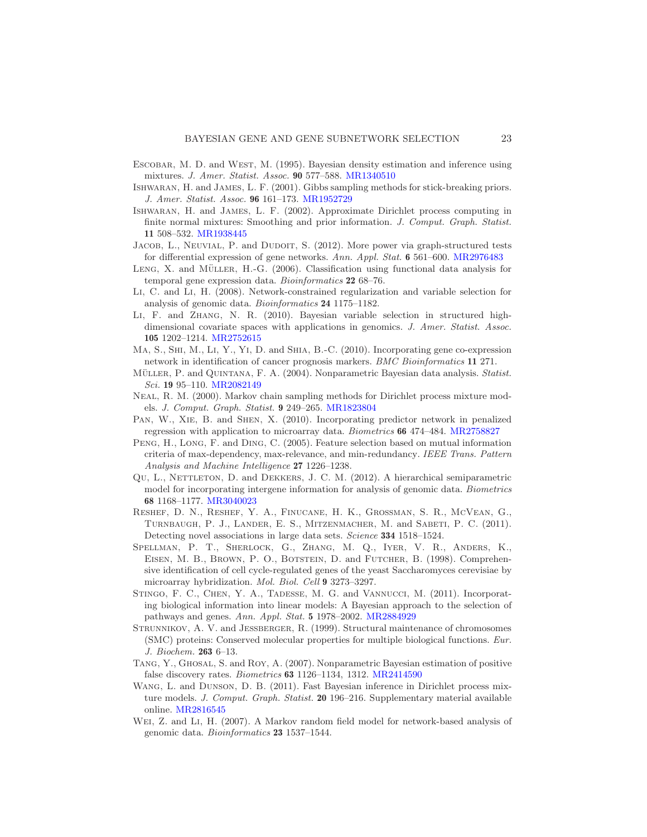- <span id="page-22-9"></span>Escobar, M. D. and West, M. (1995). Bayesian density estimation and inference using mixtures. J. Amer. Statist. Assoc. 90 577–588. [MR1340510](http://www.ams.org/mathscinet-getitem?mr=1340510)
- <span id="page-22-12"></span>Ishwaran, H. and James, L. F. (2001). Gibbs sampling methods for stick-breaking priors. J. Amer. Statist. Assoc. 96 161–173. [MR1952729](http://www.ams.org/mathscinet-getitem?mr=1952729)
- <span id="page-22-15"></span>Ishwaran, H. and James, L. F. (2002). Approximate Dirichlet process computing in finite normal mixtures: Smoothing and prior information. J. Comput. Graph. Statist. 11 508–532. [MR1938445](http://www.ams.org/mathscinet-getitem?mr=1938445)
- <span id="page-22-6"></span>JACOB, L., NEUVIAL, P. and DUDOIT, S. (2012). More power via graph-structured tests for differential expression of gene networks. Ann. Appl. Stat. 6 561–600. [MR2976483](http://www.ams.org/mathscinet-getitem?mr=2976483)
- <span id="page-22-7"></span>LENG, X. and MÜLLER, H.-G.  $(2006)$ . Classification using functional data analysis for temporal gene expression data. Bioinformatics 22 68–76.
- <span id="page-22-1"></span>Li, C. and Li, H. (2008). Network-constrained regularization and variable selection for analysis of genomic data. Bioinformatics 24 1175–1182.
- <span id="page-22-4"></span>Li, F. and Zhang, N. R. (2010). Bayesian variable selection in structured highdimensional covariate spaces with applications in genomics. J. Amer. Statist. Assoc. 105 1202–1214. [MR2752615](http://www.ams.org/mathscinet-getitem?mr=2752615)
- <span id="page-22-3"></span>MA, S., SHI, M., LI, Y., YI, D. and SHIA, B.-C. (2010). Incorporating gene co-expression network in identification of cancer prognosis markers. *BMC Bioinformatics* 11 271.
- <span id="page-22-10"></span>MÜLLER, P. and QUINTANA, F. A. (2004). Nonparametric Bayesian data analysis. *Statist*. Sci. 19 95–110. [MR2082149](http://www.ams.org/mathscinet-getitem?mr=2082149)
- <span id="page-22-11"></span>Neal, R. M. (2000). Markov chain sampling methods for Dirichlet process mixture models. J. Comput. Graph. Statist. 9 249–265. [MR1823804](http://www.ams.org/mathscinet-getitem?mr=1823804)
- <span id="page-22-2"></span>Pan, W., Xie, B. and Shen, X. (2010). Incorporating predictor network in penalized regression with application to microarray data. Biometrics 66 474–484. [MR2758827](http://www.ams.org/mathscinet-getitem?mr=2758827)
- <span id="page-22-18"></span>Peng, H., Long, F. and Ding, C. (2005). Feature selection based on mutual information criteria of max-dependency, max-relevance, and min-redundancy. IEEE Trans. Pattern Analysis and Machine Intelligence 27 1226–1238.
- <span id="page-22-8"></span>Qu, L., Nettleton, D. and Dekkers, J. C. M. (2012). A hierarchical semiparametric model for incorporating intergene information for analysis of genomic data. Biometrics 68 1168–1177. [MR3040023](http://www.ams.org/mathscinet-getitem?mr=3040023)
- <span id="page-22-19"></span>Reshef, D. N., Reshef, Y. A., Finucane, H. K., Grossman, S. R., McVean, G., Turnbaugh, P. J., Lander, E. S., Mitzenmacher, M. and Sabeti, P. C. (2011). Detecting novel associations in large data sets. Science 334 1518–1524.
- <span id="page-22-16"></span>Spellman, P. T., Sherlock, G., Zhang, M. Q., Iyer, V. R., Anders, K., EISEN, M. B., BROWN, P. O., BOTSTEIN, D. and FUTCHER, B. (1998). Comprehensive identification of cell cycle-regulated genes of the yeast Saccharomyces cerevisiae by microarray hybridization. Mol. Biol. Cell 9 3273–3297.
- <span id="page-22-5"></span>STINGO, F. C., CHEN, Y. A., TADESSE, M. G. and VANNUCCI, M. (2011). Incorporating biological information into linear models: A Bayesian approach to the selection of pathways and genes. Ann. Appl. Stat. 5 1978–2002. [MR2884929](http://www.ams.org/mathscinet-getitem?mr=2884929)
- <span id="page-22-17"></span>Strunnikov, A. V. and Jessberger, R. (1999). Structural maintenance of chromosomes (SMC) proteins: Conserved molecular properties for multiple biological functions. Eur. J. Biochem. 263 6–13.
- <span id="page-22-14"></span>Tang, Y., Ghosal, S. and Roy, A. (2007). Nonparametric Bayesian estimation of positive false discovery rates. Biometrics 63 1126–1134, 1312. [MR2414590](http://www.ams.org/mathscinet-getitem?mr=2414590)
- <span id="page-22-13"></span>Wang, L. and Dunson, D. B. (2011). Fast Bayesian inference in Dirichlet process mixture models. J. Comput. Graph. Statist. 20 196-216. Supplementary material available online. [MR2816545](http://www.ams.org/mathscinet-getitem?mr=2816545)
- <span id="page-22-0"></span>Wei, Z. and Li, H. (2007). A Markov random field model for network-based analysis of genomic data. Bioinformatics 23 1537–1544.